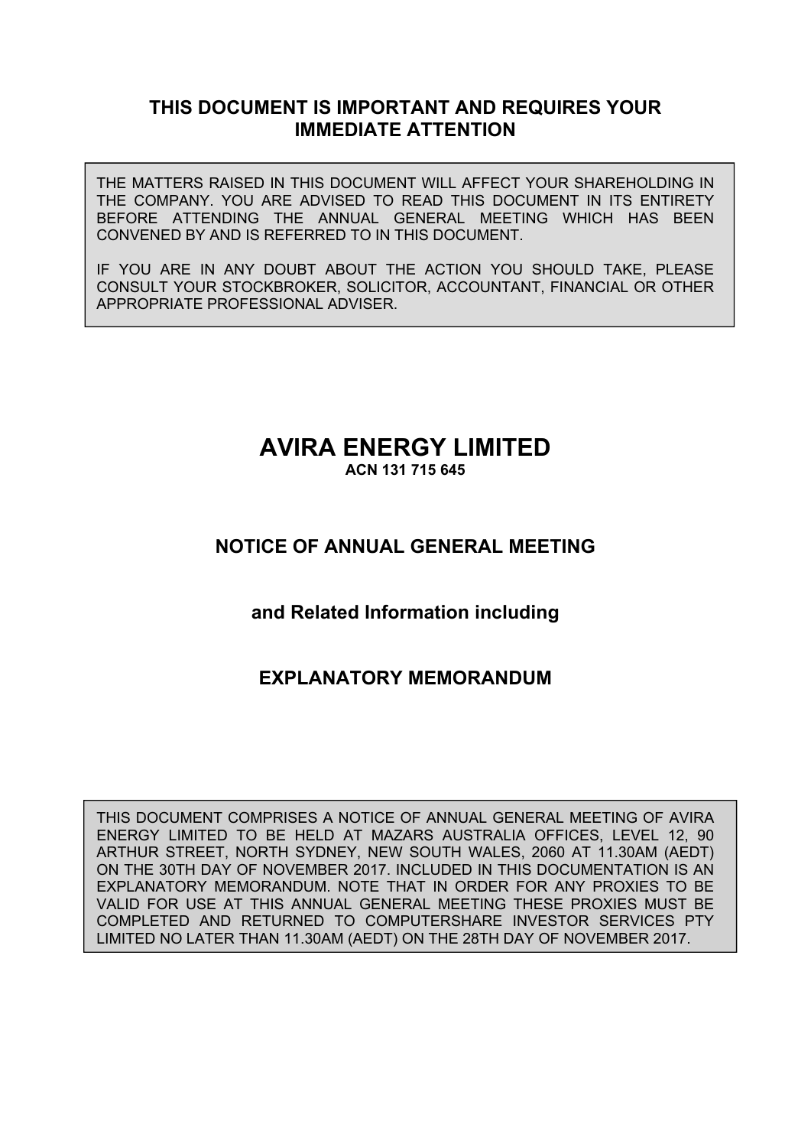## **THIS DOCUMENT IS IMPORTANT AND REQUIRES YOUR IMMEDIATE ATTENTION**

THE MATTERS RAISED IN THIS DOCUMENT WILL AFFECT YOUR SHAREHOLDING IN THE COMPANY. YOU ARE ADVISED TO READ THIS DOCUMENT IN ITS ENTIRETY BEFORE ATTENDING THE ANNUAL GENERAL MEETING WHICH HAS BEEN CONVENED BY AND IS REFERRED TO IN THIS DOCUMENT.

IF YOU ARE IN ANY DOUBT ABOUT THE ACTION YOU SHOULD TAKE, PLEASE CONSULT YOUR STOCKBROKER, SOLICITOR, ACCOUNTANT, FINANCIAL OR OTHER APPROPRIATE PROFESSIONAL ADVISER.

# **AVIRA ENERGY LIMITED**

**ACN 131 715 645** 

## **NOTICE OF ANNUAL GENERAL MEETING**

## **and Related Information including**

## **EXPLANATORY MEMORANDUM**

THIS DOCUMENT COMPRISES A NOTICE OF ANNUAL GENERAL MEETING OF AVIRA ENERGY LIMITED TO BE HELD AT MAZARS AUSTRALIA OFFICES, LEVEL 12, 90 ARTHUR STREET, NORTH SYDNEY, NEW SOUTH WALES, 2060 AT 11.30AM (AEDT) ON THE 30TH DAY OF NOVEMBER 2017. INCLUDED IN THIS DOCUMENTATION IS AN EXPLANATORY MEMORANDUM. NOTE THAT IN ORDER FOR ANY PROXIES TO BE VALID FOR USE AT THIS ANNUAL GENERAL MEETING THESE PROXIES MUST BE COMPLETED AND RETURNED TO COMPUTERSHARE INVESTOR SERVICES PTY LIMITED NO LATER THAN 11.30AM (AEDT) ON THE 28TH DAY OF NOVEMBER 2017.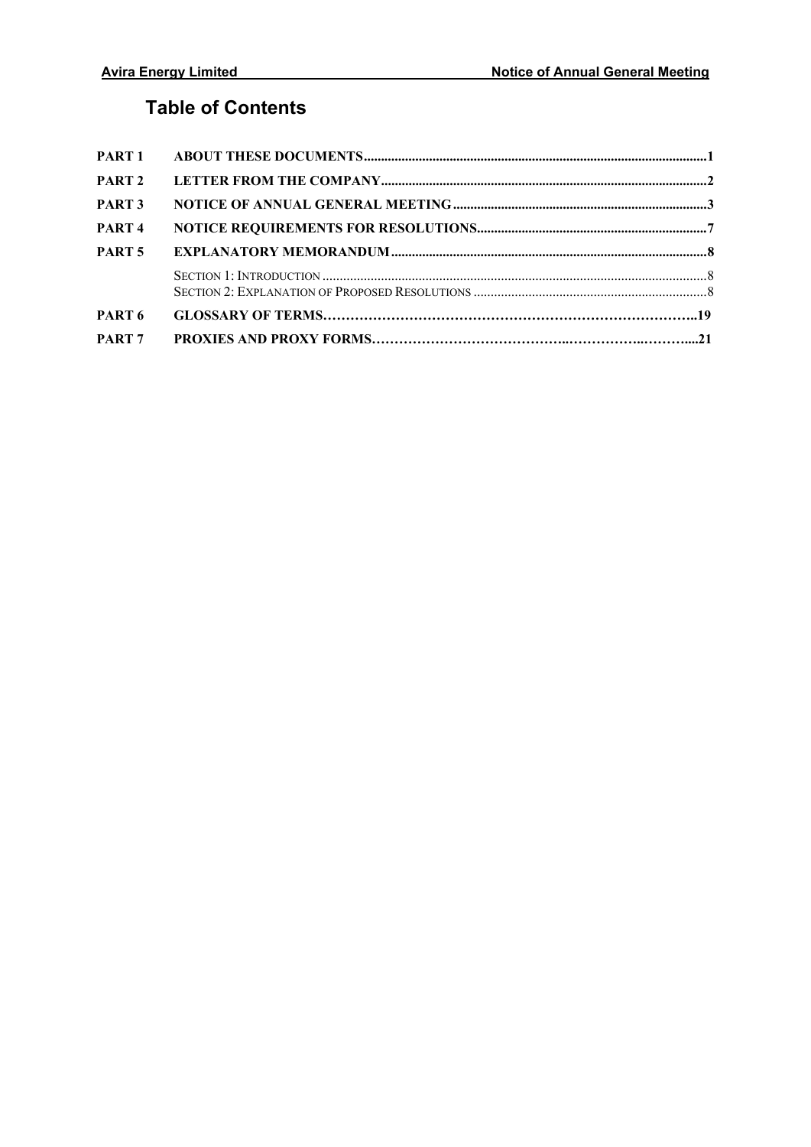## **Table of Contents**

| PART 7            |  |
|-------------------|--|
| PART <sub>6</sub> |  |
|                   |  |
| PART <sub>5</sub> |  |
| PART <sub>4</sub> |  |
| PART <sub>3</sub> |  |
| PART <sub>2</sub> |  |
|                   |  |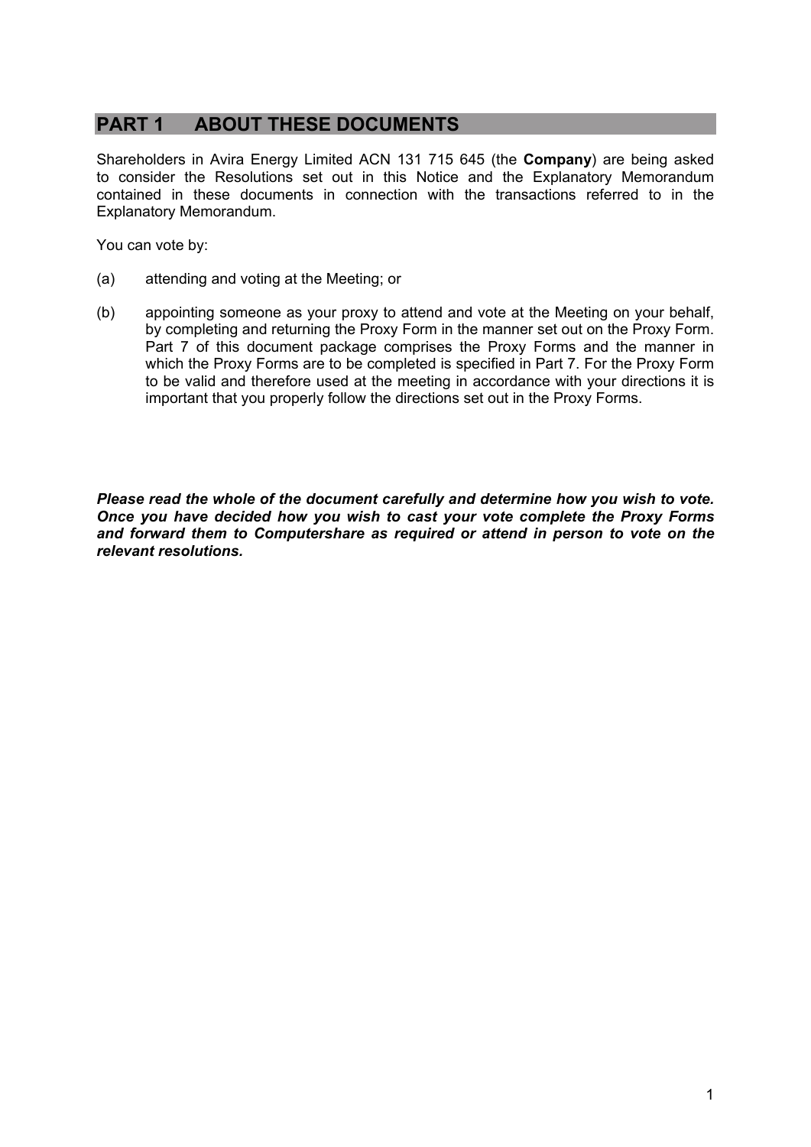## **PART 1 ABOUT THESE DOCUMENTS**

Shareholders in Avira Energy Limited ACN 131 715 645 (the **Company**) are being asked to consider the Resolutions set out in this Notice and the Explanatory Memorandum contained in these documents in connection with the transactions referred to in the Explanatory Memorandum.

You can vote by:

- (a) attending and voting at the Meeting; or
- (b) appointing someone as your proxy to attend and vote at the Meeting on your behalf, by completing and returning the Proxy Form in the manner set out on the Proxy Form. Part 7 of this document package comprises the Proxy Forms and the manner in which the Proxy Forms are to be completed is specified in Part 7. For the Proxy Form to be valid and therefore used at the meeting in accordance with your directions it is important that you properly follow the directions set out in the Proxy Forms.

*Please read the whole of the document carefully and determine how you wish to vote. Once you have decided how you wish to cast your vote complete the Proxy Forms and forward them to Computershare as required or attend in person to vote on the relevant resolutions.*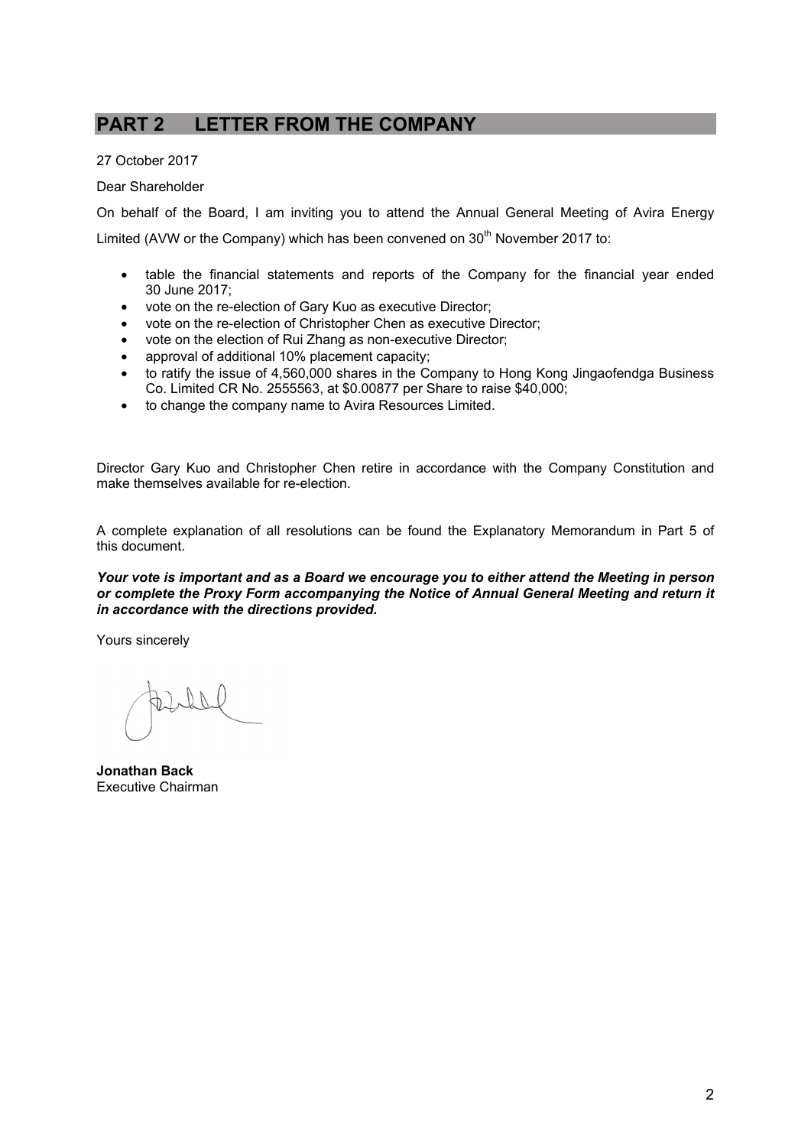## **PART 2 LETTER FROM THE COMPANY**

27 October 2017

Dear Shareholder

On behalf of the Board, I am inviting you to attend the Annual General Meeting of Avira Energy Limited (AVW or the Company) which has been convened on  $30<sup>th</sup>$  November 2017 to:

- table the financial statements and reports of the Company for the financial year ended 30 June 2017;
- vote on the re-election of Gary Kuo as executive Director;
- vote on the re-election of Christopher Chen as executive Director;
- vote on the election of Rui Zhang as non-executive Director;
- approval of additional 10% placement capacity;
- to ratify the issue of 4,560,000 shares in the Company to Hong Kong Jingaofendga Business Co. Limited CR No. 2555563, at \$0.00877 per Share to raise \$40,000;
- to change the company name to Avira Resources Limited.

Director Gary Kuo and Christopher Chen retire in accordance with the Company Constitution and make themselves available for re-election.

A complete explanation of all resolutions can be found the Explanatory Memorandum in Part 5 of this document.

*Your vote is important and as a Board we encourage you to either attend the Meeting in person or complete the Proxy Form accompanying the Notice of Annual General Meeting and return it in accordance with the directions provided.* 

Yours sincerely

 $\mathbb{N}$ 

**Jonathan Back**  Executive Chairman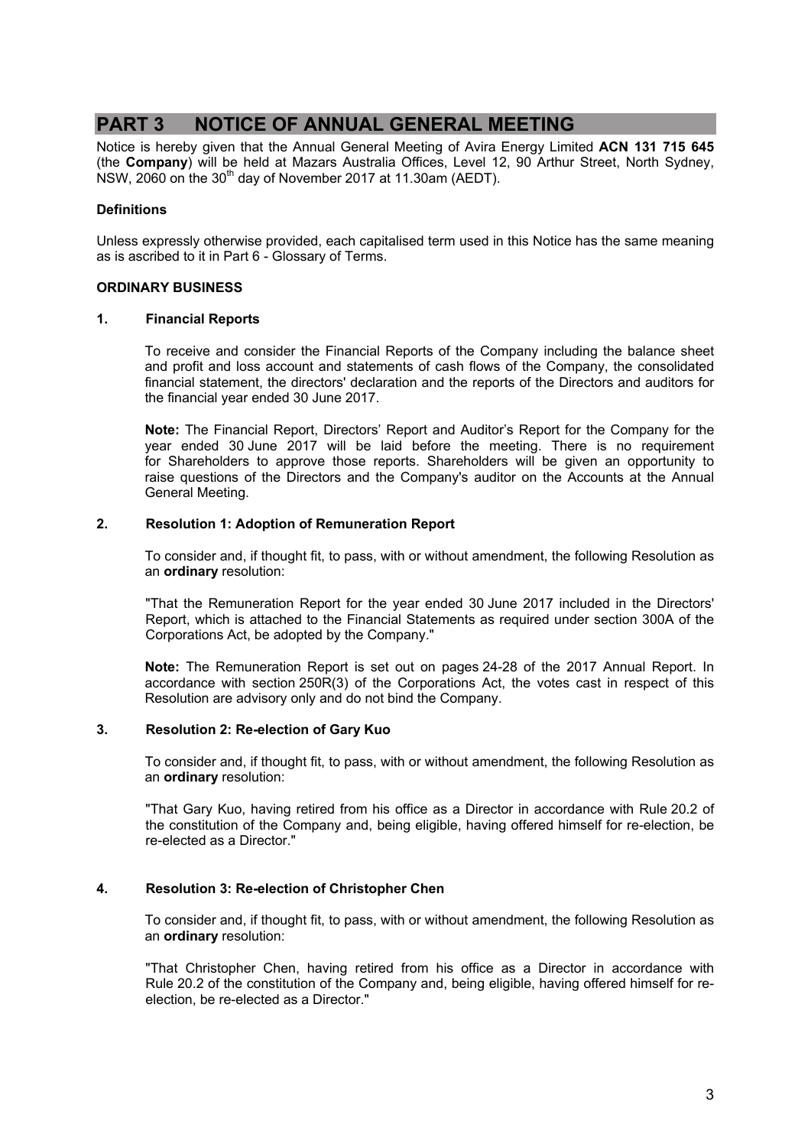## **PART 3 NOTICE OF ANNUAL GENERAL MEETING**

Notice is hereby given that the Annual General Meeting of Avira Energy Limited **ACN 131 715 645**  (the **Company**) will be held at Mazars Australia Offices, Level 12, 90 Arthur Street, North Sydney,  $NSW$ , 2060 on the 30<sup>th</sup> day of November 2017 at 11.30am (AEDT).

### **Definitions**

Unless expressly otherwise provided, each capitalised term used in this Notice has the same meaning as is ascribed to it in Part 6 - Glossary of Terms.

#### **ORDINARY BUSINESS**

#### **1. Financial Reports**

To receive and consider the Financial Reports of the Company including the balance sheet and profit and loss account and statements of cash flows of the Company, the consolidated financial statement, the directors' declaration and the reports of the Directors and auditors for the financial year ended 30 June 2017.

**Note:** The Financial Report, Directors' Report and Auditor's Report for the Company for the year ended 30 June 2017 will be laid before the meeting. There is no requirement for Shareholders to approve those reports. Shareholders will be given an opportunity to raise questions of the Directors and the Company's auditor on the Accounts at the Annual General Meeting.

#### **2. Resolution 1: Adoption of Remuneration Report**

To consider and, if thought fit, to pass, with or without amendment, the following Resolution as an **ordinary** resolution:

"That the Remuneration Report for the year ended 30 June 2017 included in the Directors' Report, which is attached to the Financial Statements as required under section 300A of the Corporations Act, be adopted by the Company."

**Note:** The Remuneration Report is set out on pages 24-28 of the 2017 Annual Report. In accordance with section 250R(3) of the Corporations Act, the votes cast in respect of this Resolution are advisory only and do not bind the Company.

### **3. Resolution 2: Re-election of Gary Kuo**

To consider and, if thought fit, to pass, with or without amendment, the following Resolution as an **ordinary** resolution:

"That Gary Kuo, having retired from his office as a Director in accordance with Rule 20.2 of the constitution of the Company and, being eligible, having offered himself for re-election, be re-elected as a Director."

### **4. Resolution 3: Re-election of Christopher Chen**

To consider and, if thought fit, to pass, with or without amendment, the following Resolution as an **ordinary** resolution:

"That Christopher Chen, having retired from his office as a Director in accordance with Rule 20.2 of the constitution of the Company and, being eligible, having offered himself for reelection, be re-elected as a Director."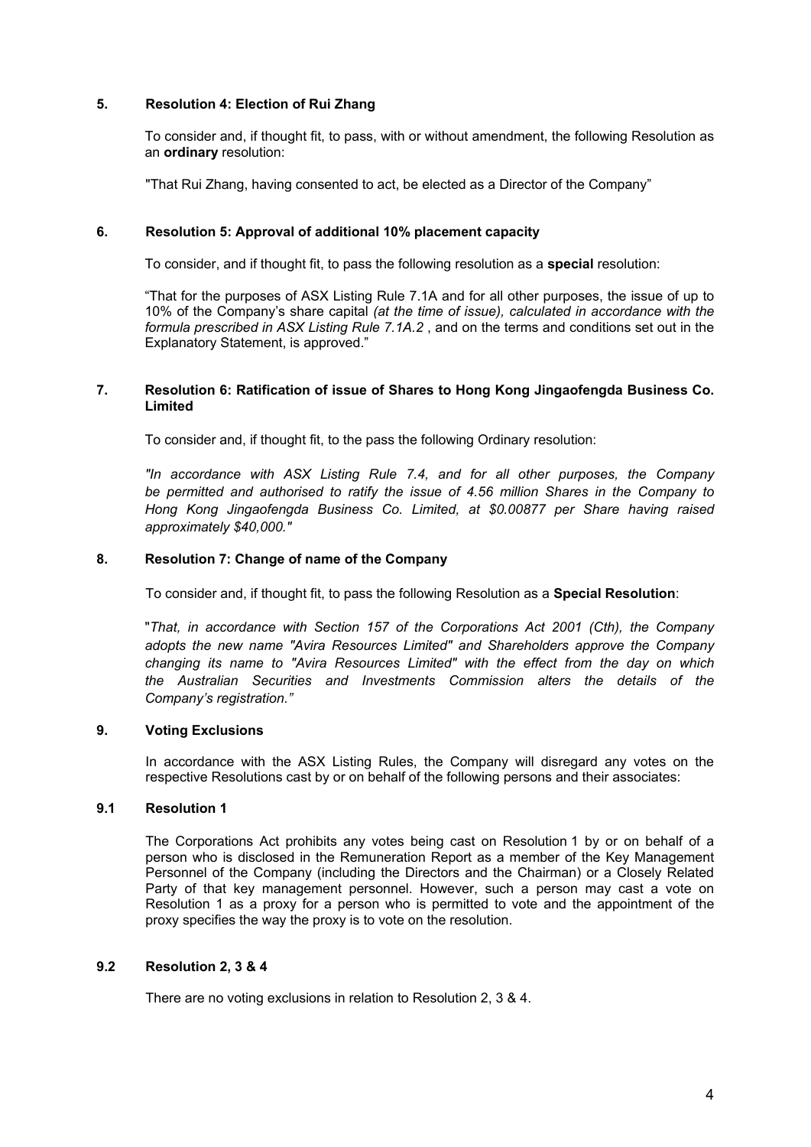### **5. Resolution 4: Election of Rui Zhang**

To consider and, if thought fit, to pass, with or without amendment, the following Resolution as an **ordinary** resolution:

"That Rui Zhang, having consented to act, be elected as a Director of the Company"

#### **6. Resolution 5: Approval of additional 10% placement capacity**

To consider, and if thought fit, to pass the following resolution as a **special** resolution:

"That for the purposes of ASX Listing Rule 7.1A and for all other purposes, the issue of up to 10% of the Company's share capital *(at the time of issue), calculated in accordance with the formula prescribed in ASX Listing Rule 7.1A.2* , and on the terms and conditions set out in the Explanatory Statement, is approved."

#### **7. Resolution 6: Ratification of issue of Shares to Hong Kong Jingaofengda Business Co. Limited**

To consider and, if thought fit, to the pass the following Ordinary resolution:

*"In accordance with ASX Listing Rule 7.4, and for all other purposes, the Company be permitted and authorised to ratify the issue of 4.56 million Shares in the Company to Hong Kong Jingaofengda Business Co. Limited, at \$0.00877 per Share having raised approximately \$40,000."*

#### **8. Resolution 7: Change of name of the Company**

To consider and, if thought fit, to pass the following Resolution as a **Special Resolution**:

"*That, in accordance with Section 157 of the Corporations Act 2001 (Cth), the Company adopts the new name "Avira Resources Limited" and Shareholders approve the Company changing its name to "Avira Resources Limited" with the effect from the day on which the Australian Securities and Investments Commission alters the details of the Company's registration."*

### **9. Voting Exclusions**

In accordance with the ASX Listing Rules, the Company will disregard any votes on the respective Resolutions cast by or on behalf of the following persons and their associates:

### **9.1 Resolution 1**

The Corporations Act prohibits any votes being cast on Resolution 1 by or on behalf of a person who is disclosed in the Remuneration Report as a member of the Key Management Personnel of the Company (including the Directors and the Chairman) or a Closely Related Party of that key management personnel. However, such a person may cast a vote on Resolution 1 as a proxy for a person who is permitted to vote and the appointment of the proxy specifies the way the proxy is to vote on the resolution.

### **9.2 Resolution 2, 3 & 4**

There are no voting exclusions in relation to Resolution 2, 3 & 4.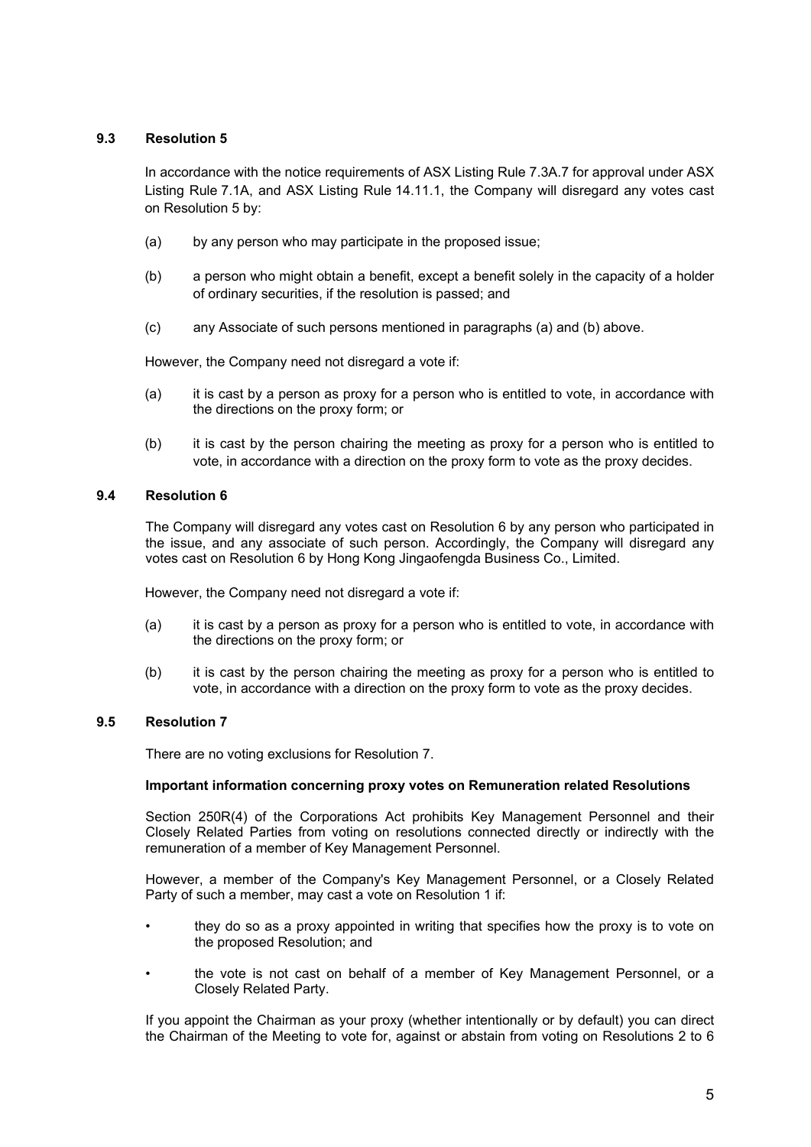### **9.3 Resolution 5**

In accordance with the notice requirements of ASX Listing Rule 7.3A.7 for approval under ASX Listing Rule 7.1A, and ASX Listing Rule 14.11.1, the Company will disregard any votes cast on Resolution 5 by:

- (a) by any person who may participate in the proposed issue;
- (b) a person who might obtain a benefit, except a benefit solely in the capacity of a holder of ordinary securities, if the resolution is passed; and
- (c) any Associate of such persons mentioned in paragraphs (a) and (b) above.

However, the Company need not disregard a vote if:

- (a) it is cast by a person as proxy for a person who is entitled to vote, in accordance with the directions on the proxy form; or
- (b) it is cast by the person chairing the meeting as proxy for a person who is entitled to vote, in accordance with a direction on the proxy form to vote as the proxy decides.

#### **9.4 Resolution 6**

The Company will disregard any votes cast on Resolution 6 by any person who participated in the issue, and any associate of such person. Accordingly, the Company will disregard any votes cast on Resolution 6 by Hong Kong Jingaofengda Business Co., Limited.

However, the Company need not disregard a vote if:

- (a) it is cast by a person as proxy for a person who is entitled to vote, in accordance with the directions on the proxy form; or
- (b) it is cast by the person chairing the meeting as proxy for a person who is entitled to vote, in accordance with a direction on the proxy form to vote as the proxy decides.

### **9.5 Resolution 7**

There are no voting exclusions for Resolution 7.

#### **Important information concerning proxy votes on Remuneration related Resolutions**

Section 250R(4) of the Corporations Act prohibits Key Management Personnel and their Closely Related Parties from voting on resolutions connected directly or indirectly with the remuneration of a member of Key Management Personnel.

However, a member of the Company's Key Management Personnel, or a Closely Related Party of such a member, may cast a vote on Resolution 1 if:

- they do so as a proxy appointed in writing that specifies how the proxy is to vote on the proposed Resolution; and
- the vote is not cast on behalf of a member of Key Management Personnel, or a Closely Related Party.

If you appoint the Chairman as your proxy (whether intentionally or by default) you can direct the Chairman of the Meeting to vote for, against or abstain from voting on Resolutions 2 to 6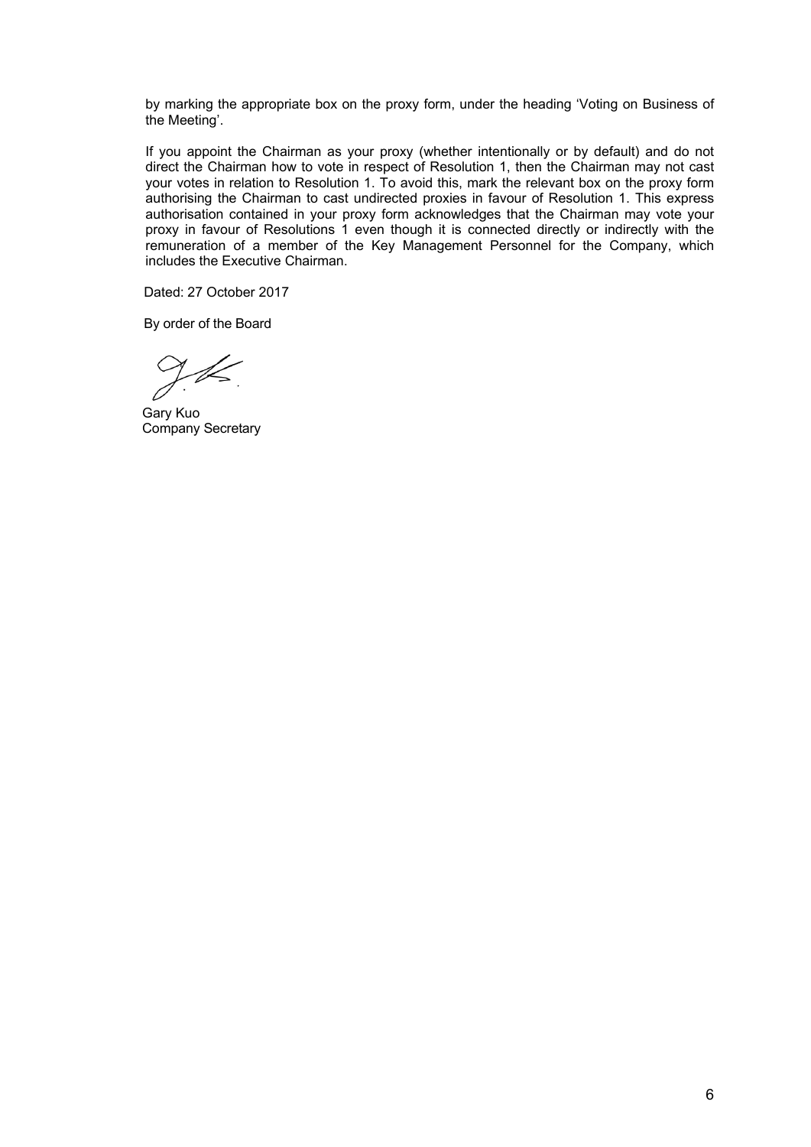by marking the appropriate box on the proxy form, under the heading 'Voting on Business of the Meeting'.

If you appoint the Chairman as your proxy (whether intentionally or by default) and do not direct the Chairman how to vote in respect of Resolution 1, then the Chairman may not cast your votes in relation to Resolution 1. To avoid this, mark the relevant box on the proxy form authorising the Chairman to cast undirected proxies in favour of Resolution 1. This express authorisation contained in your proxy form acknowledges that the Chairman may vote your proxy in favour of Resolutions 1 even though it is connected directly or indirectly with the remuneration of a member of the Key Management Personnel for the Company, which includes the Executive Chairman.

Dated: 27 October 2017

By order of the Board

tL.

Gary Kuo Company Secretary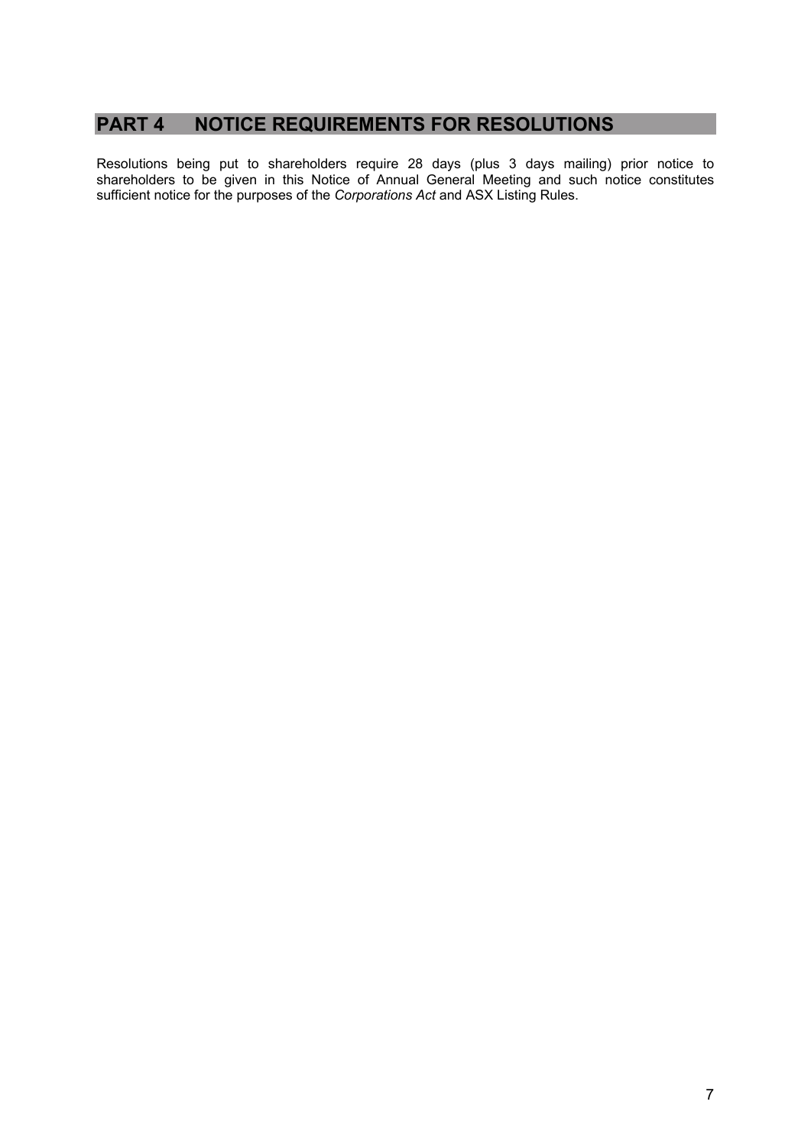## **PART 4 NOTICE REQUIREMENTS FOR RESOLUTIONS**

Resolutions being put to shareholders require 28 days (plus 3 days mailing) prior notice to shareholders to be given in this Notice of Annual General Meeting and such notice constitutes sufficient notice for the purposes of the *Corporations Act* and ASX Listing Rules.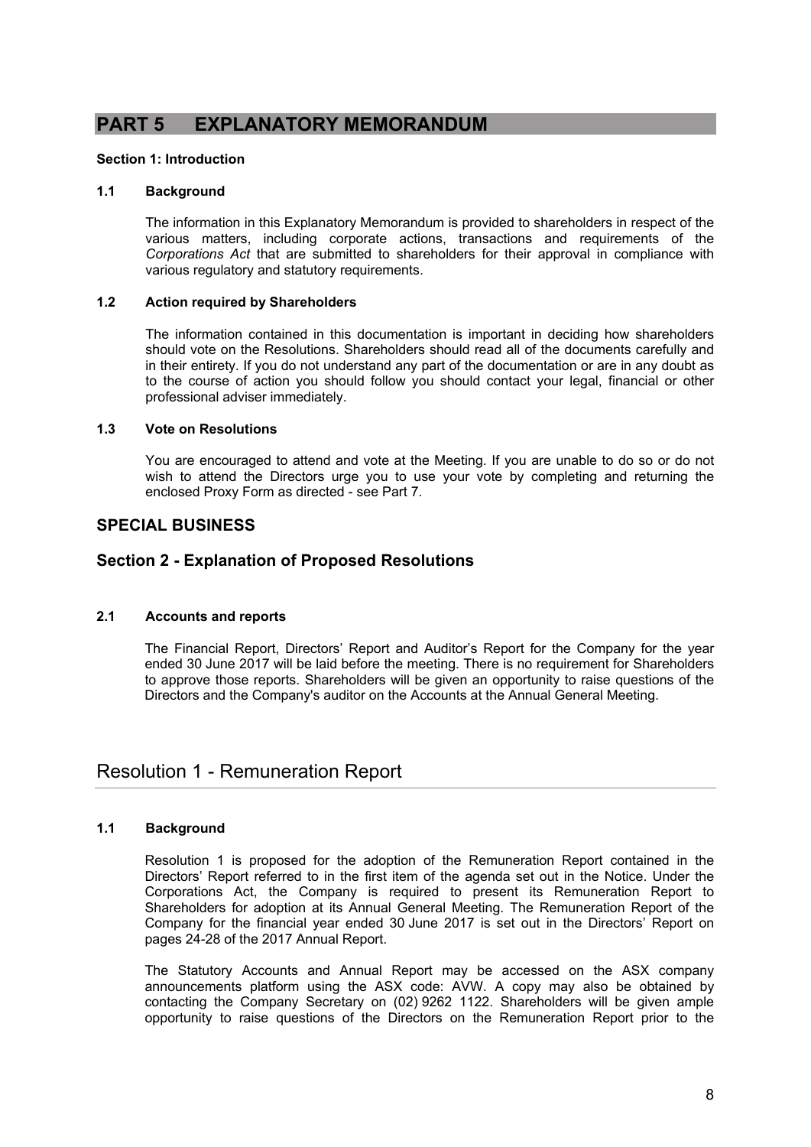## **PART 5 EXPLANATORY MEMORANDUM**

### **Section 1: Introduction**

### **1.1 Background**

The information in this Explanatory Memorandum is provided to shareholders in respect of the various matters, including corporate actions, transactions and requirements of the *Corporations Act* that are submitted to shareholders for their approval in compliance with various regulatory and statutory requirements.

#### **1.2 Action required by Shareholders**

The information contained in this documentation is important in deciding how shareholders should vote on the Resolutions. Shareholders should read all of the documents carefully and in their entirety. If you do not understand any part of the documentation or are in any doubt as to the course of action you should follow you should contact your legal, financial or other professional adviser immediately.

#### **1.3 Vote on Resolutions**

You are encouraged to attend and vote at the Meeting. If you are unable to do so or do not wish to attend the Directors urge you to use your vote by completing and returning the enclosed Proxy Form as directed - see Part 7.

## **SPECIAL BUSINESS**

## **Section 2 - Explanation of Proposed Resolutions**

### **2.1 Accounts and reports**

The Financial Report, Directors' Report and Auditor's Report for the Company for the year ended 30 June 2017 will be laid before the meeting. There is no requirement for Shareholders to approve those reports. Shareholders will be given an opportunity to raise questions of the Directors and the Company's auditor on the Accounts at the Annual General Meeting.

## Resolution 1 - Remuneration Report

### **1.1 Background**

Resolution 1 is proposed for the adoption of the Remuneration Report contained in the Directors' Report referred to in the first item of the agenda set out in the Notice. Under the Corporations Act, the Company is required to present its Remuneration Report to Shareholders for adoption at its Annual General Meeting. The Remuneration Report of the Company for the financial year ended 30 June 2017 is set out in the Directors' Report on pages 24-28 of the 2017 Annual Report.

The Statutory Accounts and Annual Report may be accessed on the ASX company announcements platform using the ASX code: AVW. A copy may also be obtained by contacting the Company Secretary on (02) 9262 1122. Shareholders will be given ample opportunity to raise questions of the Directors on the Remuneration Report prior to the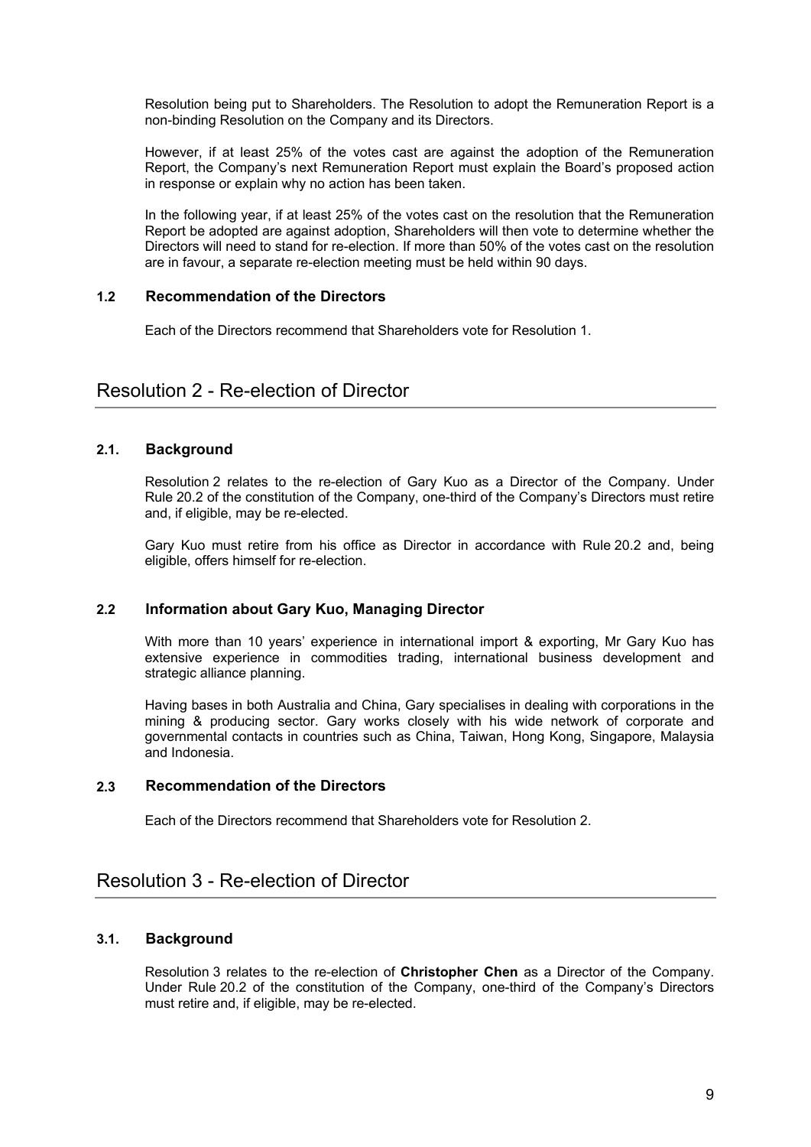Resolution being put to Shareholders. The Resolution to adopt the Remuneration Report is a non-binding Resolution on the Company and its Directors.

However, if at least 25% of the votes cast are against the adoption of the Remuneration Report, the Company's next Remuneration Report must explain the Board's proposed action in response or explain why no action has been taken.

In the following year, if at least 25% of the votes cast on the resolution that the Remuneration Report be adopted are against adoption, Shareholders will then vote to determine whether the Directors will need to stand for re-election. If more than 50% of the votes cast on the resolution are in favour, a separate re-election meeting must be held within 90 days.

## **1.2 Recommendation of the Directors**

Each of the Directors recommend that Shareholders vote for Resolution 1.

## Resolution 2 - Re-election of Director

### **2.1. Background**

Resolution 2 relates to the re-election of Gary Kuo as a Director of the Company. Under Rule 20.2 of the constitution of the Company, one-third of the Company's Directors must retire and, if eligible, may be re-elected.

Gary Kuo must retire from his office as Director in accordance with Rule 20.2 and, being eligible, offers himself for re-election.

### **2.2 Information about Gary Kuo, Managing Director**

With more than 10 years' experience in international import & exporting, Mr Gary Kuo has extensive experience in commodities trading, international business development and strategic alliance planning.

Having bases in both Australia and China, Gary specialises in dealing with corporations in the mining & producing sector. Gary works closely with his wide network of corporate and governmental contacts in countries such as China, Taiwan, Hong Kong, Singapore, Malaysia and Indonesia.

## **2.3 Recommendation of the Directors**

Each of the Directors recommend that Shareholders vote for Resolution 2.

## Resolution 3 - Re-election of Director

### **3.1. Background**

Resolution 3 relates to the re-election of **Christopher Chen** as a Director of the Company. Under Rule 20.2 of the constitution of the Company, one-third of the Company's Directors must retire and, if eligible, may be re-elected.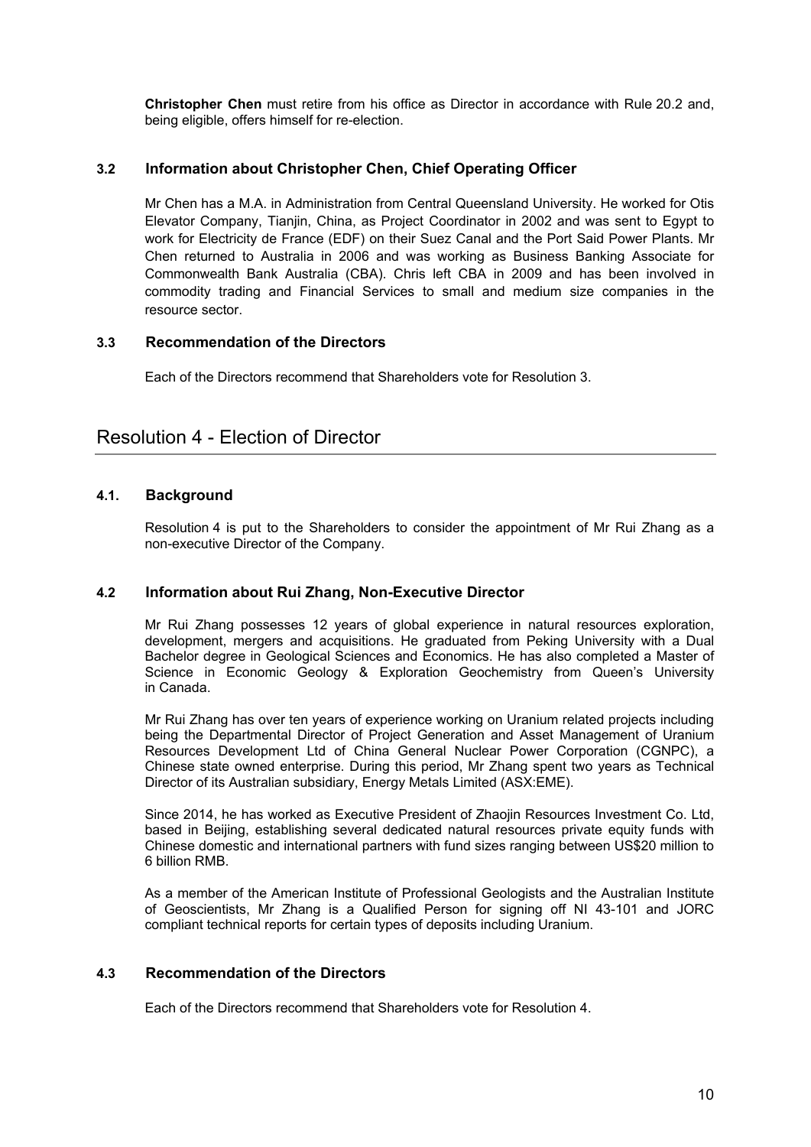**Christopher Chen** must retire from his office as Director in accordance with Rule 20.2 and, being eligible, offers himself for re-election.

## **3.2 Information about Christopher Chen, Chief Operating Officer**

Mr Chen has a M.A. in Administration from Central Queensland University. He worked for Otis Elevator Company, Tianjin, China, as Project Coordinator in 2002 and was sent to Egypt to work for Electricity de France (EDF) on their Suez Canal and the Port Said Power Plants. Mr Chen returned to Australia in 2006 and was working as Business Banking Associate for Commonwealth Bank Australia (CBA). Chris left CBA in 2009 and has been involved in commodity trading and Financial Services to small and medium size companies in the resource sector.

### **3.3 Recommendation of the Directors**

Each of the Directors recommend that Shareholders vote for Resolution 3.

## Resolution 4 - Election of Director

## **4.1. Background**

Resolution 4 is put to the Shareholders to consider the appointment of Mr Rui Zhang as a non-executive Director of the Company.

### **4.2 Information about Rui Zhang, Non-Executive Director**

Mr Rui Zhang possesses 12 years of global experience in natural resources exploration, development, mergers and acquisitions. He graduated from Peking University with a Dual Bachelor degree in Geological Sciences and Economics. He has also completed a Master of Science in Economic Geology & Exploration Geochemistry from Queen's University in Canada.

Mr Rui Zhang has over ten years of experience working on Uranium related projects including being the Departmental Director of Project Generation and Asset Management of Uranium Resources Development Ltd of China General Nuclear Power Corporation (CGNPC), a Chinese state owned enterprise. During this period, Mr Zhang spent two years as Technical Director of its Australian subsidiary, Energy Metals Limited (ASX:EME).

Since 2014, he has worked as Executive President of Zhaojin Resources Investment Co. Ltd, based in Beijing, establishing several dedicated natural resources private equity funds with Chinese domestic and international partners with fund sizes ranging between US\$20 million to 6 billion RMB.

As a member of the American Institute of Professional Geologists and the Australian Institute of Geoscientists, Mr Zhang is a Qualified Person for signing off NI 43-101 and JORC compliant technical reports for certain types of deposits including Uranium.

### **4.3 Recommendation of the Directors**

Each of the Directors recommend that Shareholders vote for Resolution 4.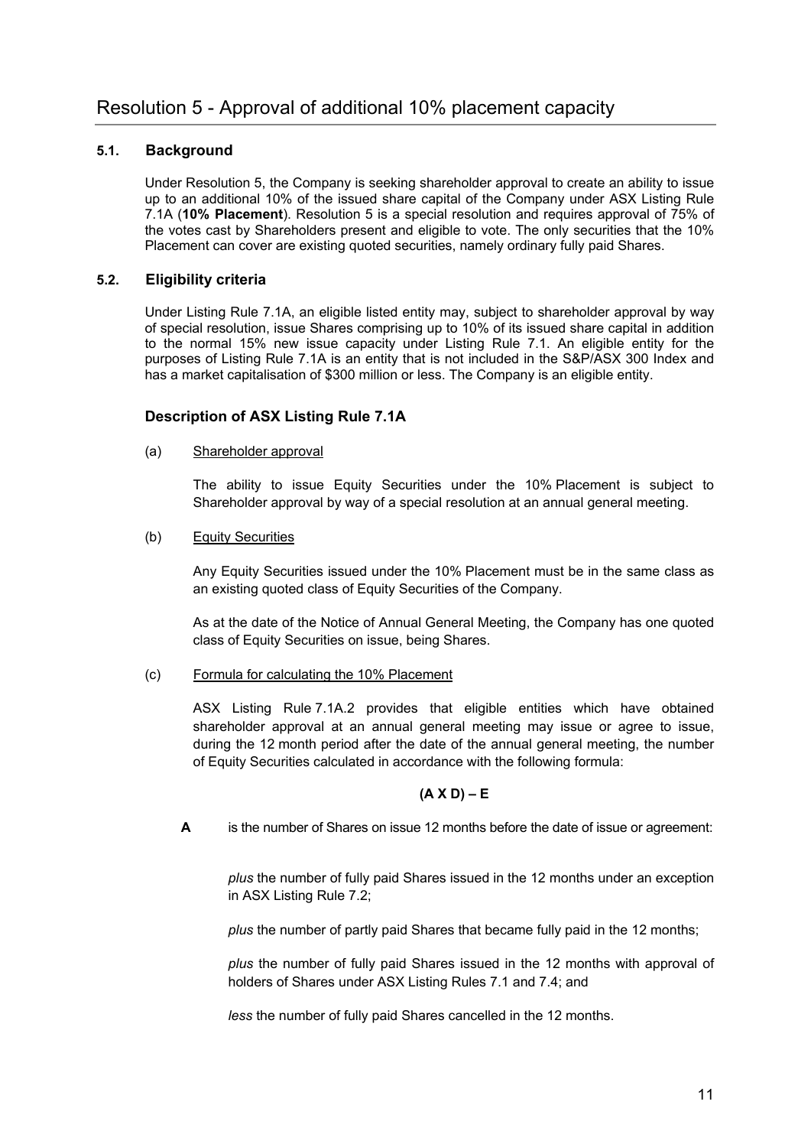## **5.1. Background**

Under Resolution 5, the Company is seeking shareholder approval to create an ability to issue up to an additional 10% of the issued share capital of the Company under ASX Listing Rule 7.1A (**10% Placement**). Resolution 5 is a special resolution and requires approval of 75% of the votes cast by Shareholders present and eligible to vote. The only securities that the 10% Placement can cover are existing quoted securities, namely ordinary fully paid Shares.

## **5.2. Eligibility criteria**

Under Listing Rule 7.1A, an eligible listed entity may, subject to shareholder approval by way of special resolution, issue Shares comprising up to 10% of its issued share capital in addition to the normal 15% new issue capacity under Listing Rule 7.1. An eligible entity for the purposes of Listing Rule 7.1A is an entity that is not included in the S&P/ASX 300 Index and has a market capitalisation of \$300 million or less. The Company is an eligible entity.

## **Description of ASX Listing Rule 7.1A**

## (a) Shareholder approval

The ability to issue Equity Securities under the 10% Placement is subject to Shareholder approval by way of a special resolution at an annual general meeting.

(b) Equity Securities

Any Equity Securities issued under the 10% Placement must be in the same class as an existing quoted class of Equity Securities of the Company.

As at the date of the Notice of Annual General Meeting, the Company has one quoted class of Equity Securities on issue, being Shares.

(c) Formula for calculating the 10% Placement

ASX Listing Rule 7.1A.2 provides that eligible entities which have obtained shareholder approval at an annual general meeting may issue or agree to issue, during the 12 month period after the date of the annual general meeting, the number of Equity Securities calculated in accordance with the following formula:

## **(A X D) – E**

**A** is the number of Shares on issue 12 months before the date of issue or agreement:

*plus* the number of fully paid Shares issued in the 12 months under an exception in ASX Listing Rule 7.2;

*plus* the number of partly paid Shares that became fully paid in the 12 months;

*plus* the number of fully paid Shares issued in the 12 months with approval of holders of Shares under ASX Listing Rules 7.1 and 7.4; and

*less* the number of fully paid Shares cancelled in the 12 months.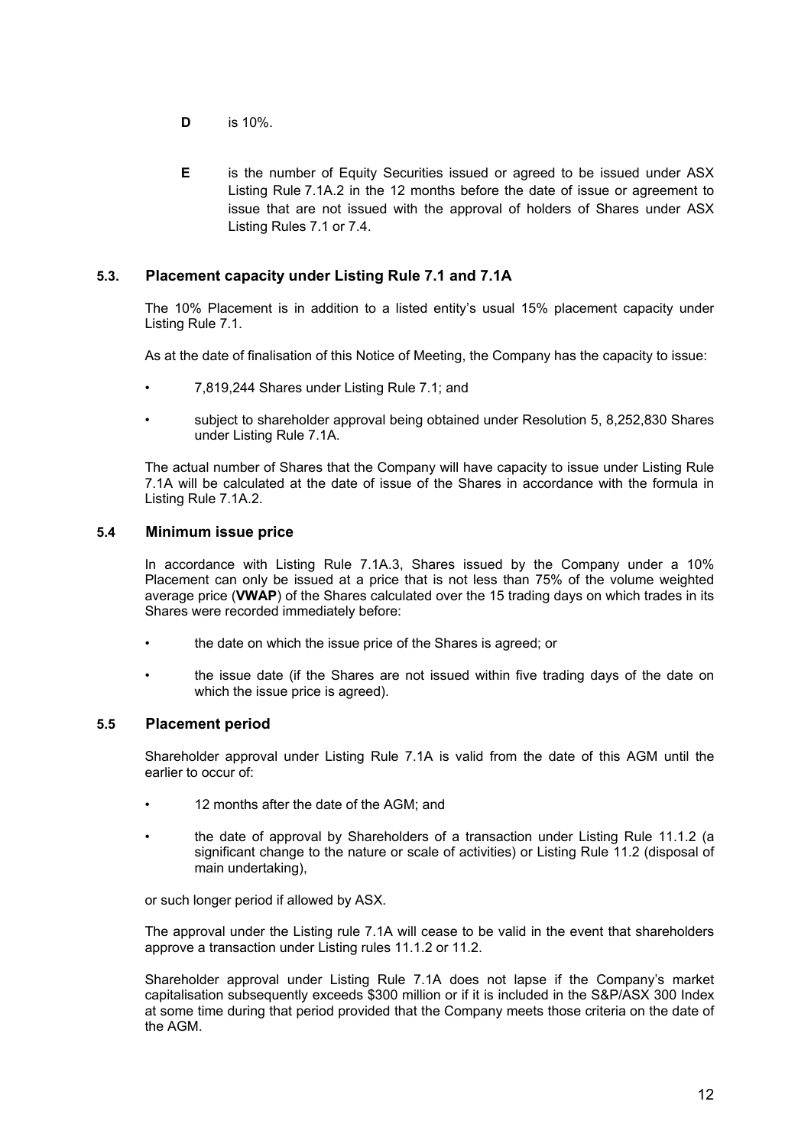- **D** is 10%.
- **E** is the number of Equity Securities issued or agreed to be issued under ASX Listing Rule 7.1A.2 in the 12 months before the date of issue or agreement to issue that are not issued with the approval of holders of Shares under ASX Listing Rules 7.1 or 7.4.

## **5.3. Placement capacity under Listing Rule 7.1 and 7.1A**

The 10% Placement is in addition to a listed entity's usual 15% placement capacity under Listing Rule 7.1.

As at the date of finalisation of this Notice of Meeting, the Company has the capacity to issue:

- 7,819,244 Shares under Listing Rule 7.1; and
- subject to shareholder approval being obtained under Resolution 5, 8,252,830 Shares under Listing Rule 7.1A.

The actual number of Shares that the Company will have capacity to issue under Listing Rule 7.1A will be calculated at the date of issue of the Shares in accordance with the formula in Listing Rule 7.1A.2.

#### **5.4 Minimum issue price**

In accordance with Listing Rule 7.1A.3, Shares issued by the Company under a 10% Placement can only be issued at a price that is not less than 75% of the volume weighted average price (**VWAP**) of the Shares calculated over the 15 trading days on which trades in its Shares were recorded immediately before:

- the date on which the issue price of the Shares is agreed; or
- the issue date (if the Shares are not issued within five trading days of the date on which the issue price is agreed).

### **5.5 Placement period**

Shareholder approval under Listing Rule 7.1A is valid from the date of this AGM until the earlier to occur of:

- 12 months after the date of the AGM; and
- the date of approval by Shareholders of a transaction under Listing Rule 11.1.2 (a significant change to the nature or scale of activities) or Listing Rule 11.2 (disposal of main undertaking),

or such longer period if allowed by ASX.

The approval under the Listing rule 7.1A will cease to be valid in the event that shareholders approve a transaction under Listing rules 11.1.2 or 11.2.

Shareholder approval under Listing Rule 7.1A does not lapse if the Company's market capitalisation subsequently exceeds \$300 million or if it is included in the S&P/ASX 300 Index at some time during that period provided that the Company meets those criteria on the date of the AGM.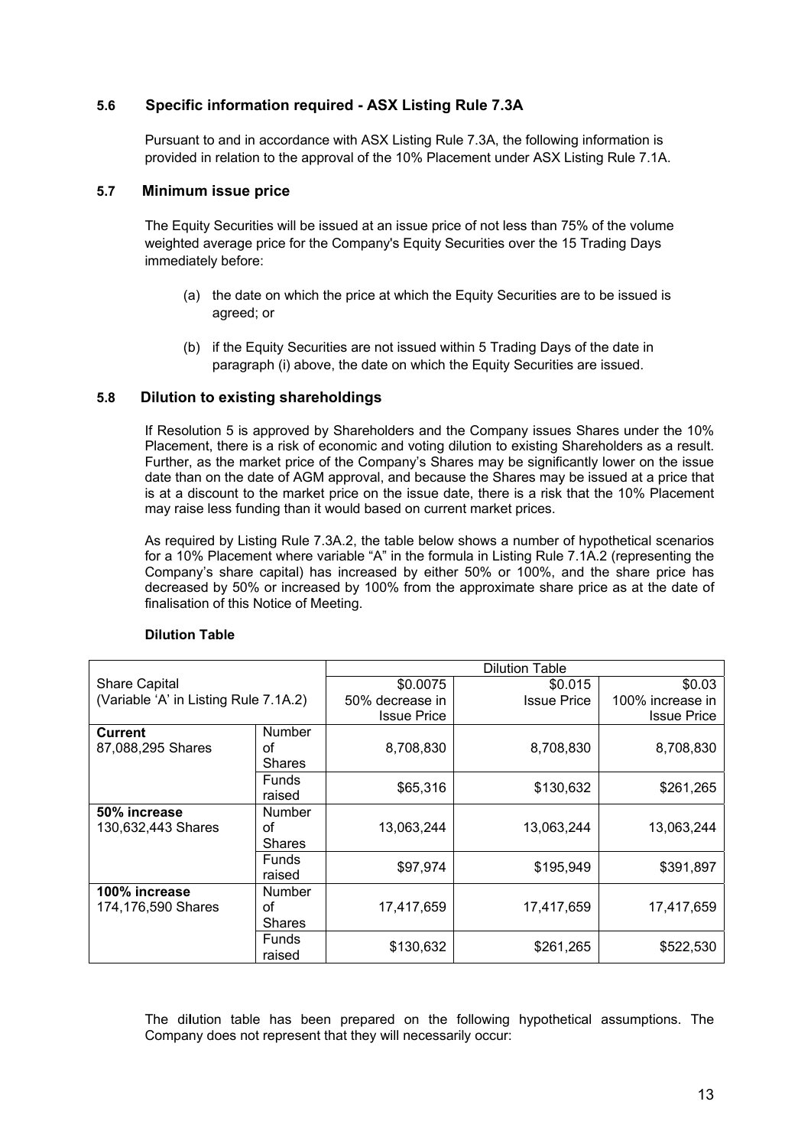## **5.6 Specific information required - ASX Listing Rule 7.3A**

Pursuant to and in accordance with ASX Listing Rule 7.3A, the following information is provided in relation to the approval of the 10% Placement under ASX Listing Rule 7.1A.

#### **5.7 Minimum issue price**

The Equity Securities will be issued at an issue price of not less than 75% of the volume weighted average price for the Company's Equity Securities over the 15 Trading Days immediately before:

- (a) the date on which the price at which the Equity Securities are to be issued is agreed; or
- (b) if the Equity Securities are not issued within 5 Trading Days of the date in paragraph (i) above, the date on which the Equity Securities are issued.

### **5.8 Dilution to existing shareholdings**

If Resolution 5 is approved by Shareholders and the Company issues Shares under the 10% Placement, there is a risk of economic and voting dilution to existing Shareholders as a result. Further, as the market price of the Company's Shares may be significantly lower on the issue date than on the date of AGM approval, and because the Shares may be issued at a price that is at a discount to the market price on the issue date, there is a risk that the 10% Placement may raise less funding than it would based on current market prices.

As required by Listing Rule 7.3A.2, the table below shows a number of hypothetical scenarios for a 10% Placement where variable "A" in the formula in Listing Rule 7.1A.2 (representing the Company's share capital) has increased by either 50% or 100%, and the share price has decreased by 50% or increased by 100% from the approximate share price as at the date of finalisation of this Notice of Meeting.

|                                       |               |                    | <b>Dilution Table</b> |                    |
|---------------------------------------|---------------|--------------------|-----------------------|--------------------|
| <b>Share Capital</b>                  |               | \$0.0075           | \$0.015               | \$0.03             |
| (Variable 'A' in Listing Rule 7.1A.2) |               | 50% decrease in    | <b>Issue Price</b>    | 100% increase in   |
|                                       |               | <b>Issue Price</b> |                       | <b>Issue Price</b> |
| <b>Current</b>                        | <b>Number</b> |                    |                       |                    |
| 87,088,295 Shares                     | οf            | 8,708,830          | 8,708,830             | 8,708,830          |
|                                       | <b>Shares</b> |                    |                       |                    |
|                                       | <b>Funds</b>  |                    |                       |                    |
|                                       | raised        | \$65,316           | \$130,632             | \$261,265          |
| 50% increase                          | <b>Number</b> |                    |                       |                    |
| 130,632,443 Shares                    | οf            | 13,063,244         | 13,063,244            | 13,063,244         |
|                                       | <b>Shares</b> |                    |                       |                    |
|                                       | Funds         |                    |                       |                    |
|                                       | raised        | \$97,974           | \$195,949             | \$391,897          |
| 100% increase                         | Number        |                    |                       |                    |
| 174,176,590 Shares                    | Ωf            | 17,417,659         | 17,417,659            | 17,417,659         |
|                                       | <b>Shares</b> |                    |                       |                    |
|                                       | <b>Funds</b>  |                    |                       |                    |
|                                       | raised        | \$130,632          | \$261,265             | \$522,530          |

#### **Dilution Table**

The di**l**ution table has been prepared on the following hypothetical assumptions. The Company does not represent that they will necessarily occur: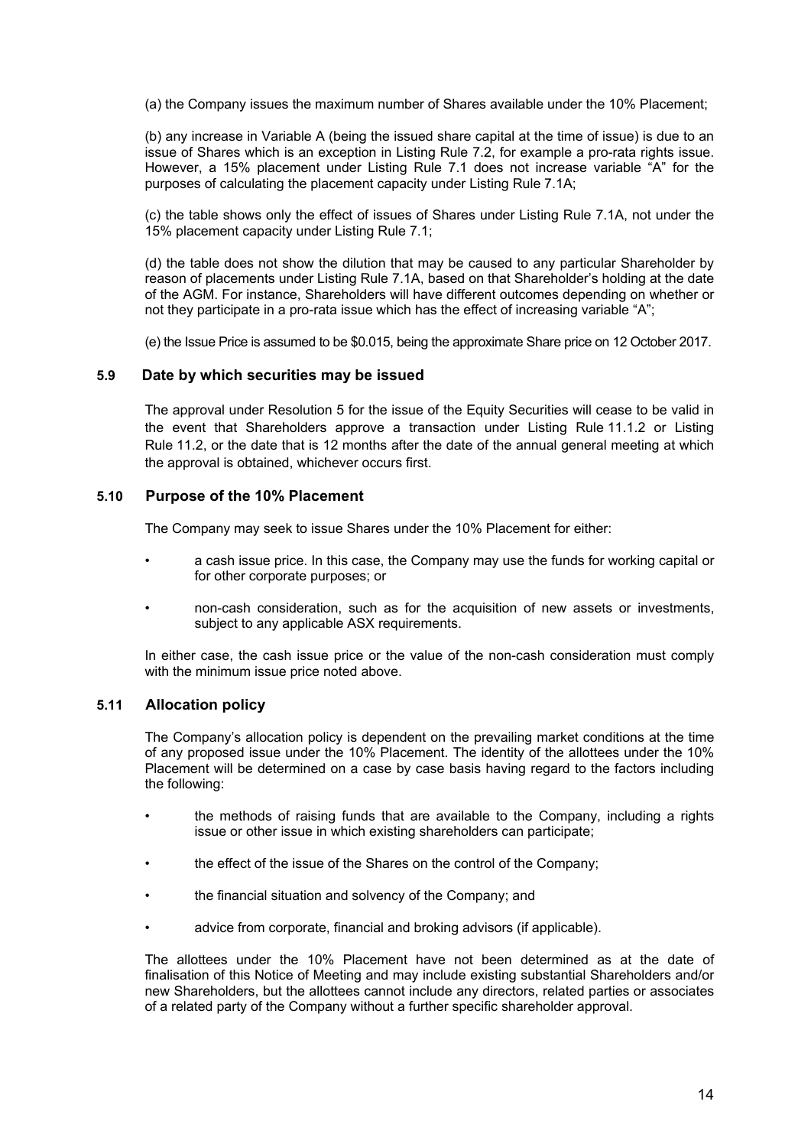(a) the Company issues the maximum number of Shares available under the 10% Placement;

(b) any increase in Variable A (being the issued share capital at the time of issue) is due to an issue of Shares which is an exception in Listing Rule 7.2, for example a pro-rata rights issue. However, a 15% placement under Listing Rule 7.1 does not increase variable "A" for the purposes of calculating the placement capacity under Listing Rule 7.1A;

(c) the table shows only the effect of issues of Shares under Listing Rule 7.1A, not under the 15% placement capacity under Listing Rule 7.1;

(d) the table does not show the dilution that may be caused to any particular Shareholder by reason of placements under Listing Rule 7.1A, based on that Shareholder's holding at the date of the AGM. For instance, Shareholders will have different outcomes depending on whether or not they participate in a pro-rata issue which has the effect of increasing variable "A";

(e) the Issue Price is assumed to be \$0.015, being the approximate Share price on 12 October 2017.

#### **5.9 Date by which securities may be issued**

The approval under Resolution 5 for the issue of the Equity Securities will cease to be valid in the event that Shareholders approve a transaction under Listing Rule 11.1.2 or Listing Rule 11.2, or the date that is 12 months after the date of the annual general meeting at which the approval is obtained, whichever occurs first.

#### **5.10 Purpose of the 10% Placement**

The Company may seek to issue Shares under the 10% Placement for either:

- a cash issue price. In this case, the Company may use the funds for working capital or for other corporate purposes; or
- non-cash consideration, such as for the acquisition of new assets or investments, subject to any applicable ASX requirements.

In either case, the cash issue price or the value of the non-cash consideration must comply with the minimum issue price noted above.

#### **5.11 Allocation policy**

The Company's allocation policy is dependent on the prevailing market conditions at the time of any proposed issue under the 10% Placement. The identity of the allottees under the 10% Placement will be determined on a case by case basis having regard to the factors including the following:

- the methods of raising funds that are available to the Company, including a rights issue or other issue in which existing shareholders can participate;
- the effect of the issue of the Shares on the control of the Company;
- the financial situation and solvency of the Company; and
- advice from corporate, financial and broking advisors (if applicable).

The allottees under the 10% Placement have not been determined as at the date of finalisation of this Notice of Meeting and may include existing substantial Shareholders and/or new Shareholders, but the allottees cannot include any directors, related parties or associates of a related party of the Company without a further specific shareholder approval.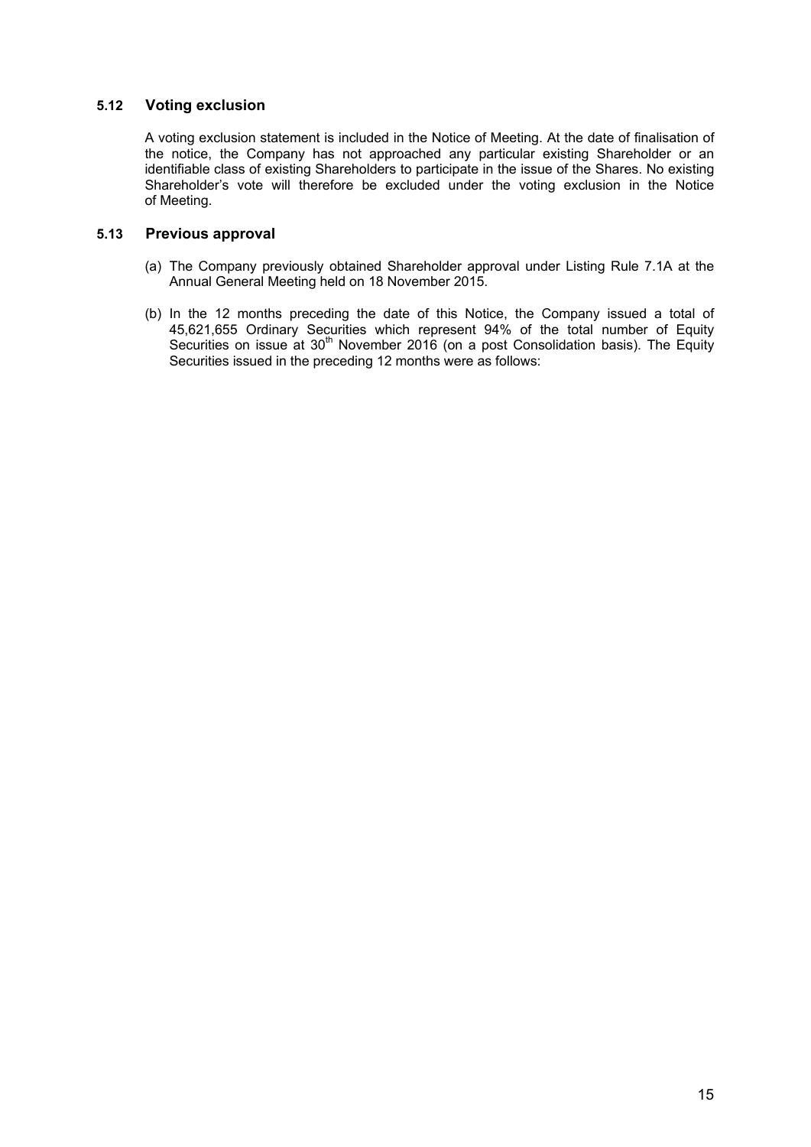## **5.12 Voting exclusion**

A voting exclusion statement is included in the Notice of Meeting. At the date of finalisation of the notice, the Company has not approached any particular existing Shareholder or an identifiable class of existing Shareholders to participate in the issue of the Shares. No existing Shareholder's vote will therefore be excluded under the voting exclusion in the Notice of Meeting.

## **5.13 Previous approval**

- (a) The Company previously obtained Shareholder approval under Listing Rule 7.1A at the Annual General Meeting held on 18 November 2015.
- (b) In the 12 months preceding the date of this Notice, the Company issued a total of 45,621,655 Ordinary Securities which represent 94% of the total number of Equity Securities on issue at 30<sup>th</sup> November 2016 (on a post Consolidation basis). The Equity Securities issued in the preceding 12 months were as follows: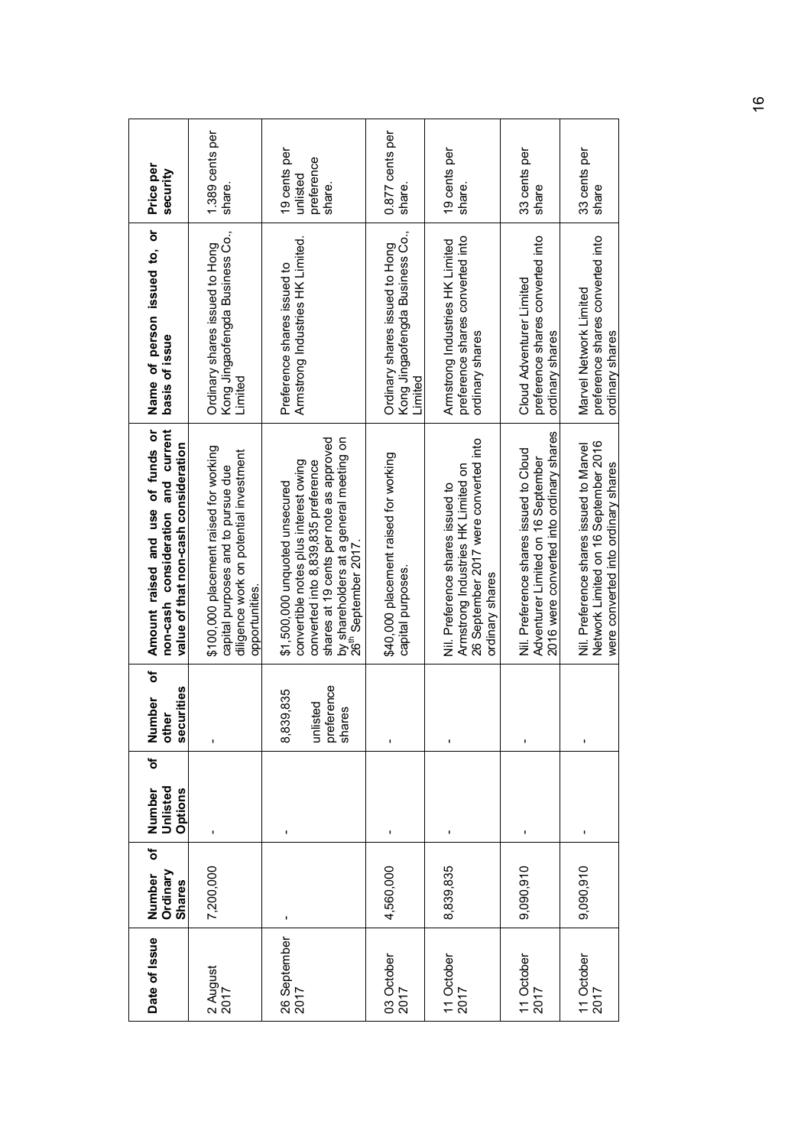| Date of Issue                                             | ð<br>Ordinary<br>Number<br><b>Shares</b> | đ<br>Unlisted<br>Number<br>Options | ð<br>securities<br>Number<br>other            | non-cash consideration and current<br>Amount raised and use of funds or<br>value of that non-cash consideration                                                                                                                          | Name of person issued to, or<br>basis of issue                                         | Price per<br>security                            |
|-----------------------------------------------------------|------------------------------------------|------------------------------------|-----------------------------------------------|------------------------------------------------------------------------------------------------------------------------------------------------------------------------------------------------------------------------------------------|----------------------------------------------------------------------------------------|--------------------------------------------------|
| 2 August<br>2017                                          | 7,200,000                                | ı                                  |                                               | \$100,000 placement raised for working<br>diligence work on potential investment<br>capital purposes and to pursue due<br>opportunities.                                                                                                 | Kong Jingaofengda Business Co.,<br>Ordinary shares issued to Hong<br>Limited           | 1.389 cents per<br>share.                        |
| 26 September<br>2017                                      | ı                                        | ı                                  | unlisted<br>preference<br>shares<br>8,839,835 | by shareholders at a general meeting on<br>26 <sup>th</sup> September 2017.<br>shares at 19 cents per note as approved<br>convertible notes plus interest owing<br>converted into 8,839,835 preference<br>\$1,500,000 unquoted unsecured | Armstrong Industries HK Limited.<br>Preference shares issued to                        | 19 cents per<br>preference<br>unlisted<br>share. |
| 03 October<br>2017                                        | 4,560,000                                |                                    | ı                                             | \$40,000 placement raised for working<br>capital purposes.                                                                                                                                                                               | Kong Jingaofengda Business Co.,<br>Ordinary shares issued to Hong<br>Limited           | 0.877 cents per<br>share                         |
| 11 October<br>2017                                        | 8,839,835                                | $\pmb{\mathsf{I}}$                 | ı                                             | 26 September 2017 were converted into<br>Armstrong Industries HK Limited on<br>Nil. Preference shares issued to<br>ordinary shares                                                                                                       | preference shares converted into<br>Armstrong Industries HK Limited<br>ordinary shares | 19 cents per<br>share.                           |
| $\frac{11 \text{ October}}{2017}$                         | 9,090,910                                | ı                                  | ı                                             | 2016 were converted into ordinary shares<br>Nil. Preference shares issued to Cloud<br>Adventurer Limited on 16 September                                                                                                                 | preference shares converted into<br>Cloud Adventurer Limited<br>ordinary shares        | 33 cents per<br>share                            |
| $\begin{array}{c} 11 \text{ October} \\ 2017 \end{array}$ | 9,090,910                                | ı                                  | $\mathbf{I}$                                  | Network Limited on 16 September 2016<br>Nil. Preference shares issued to Marvel<br>were converted into ordinary shares                                                                                                                   | preference shares converted into<br>Marvel Network Limited<br>ordinary shares          | 33 cents per<br>share                            |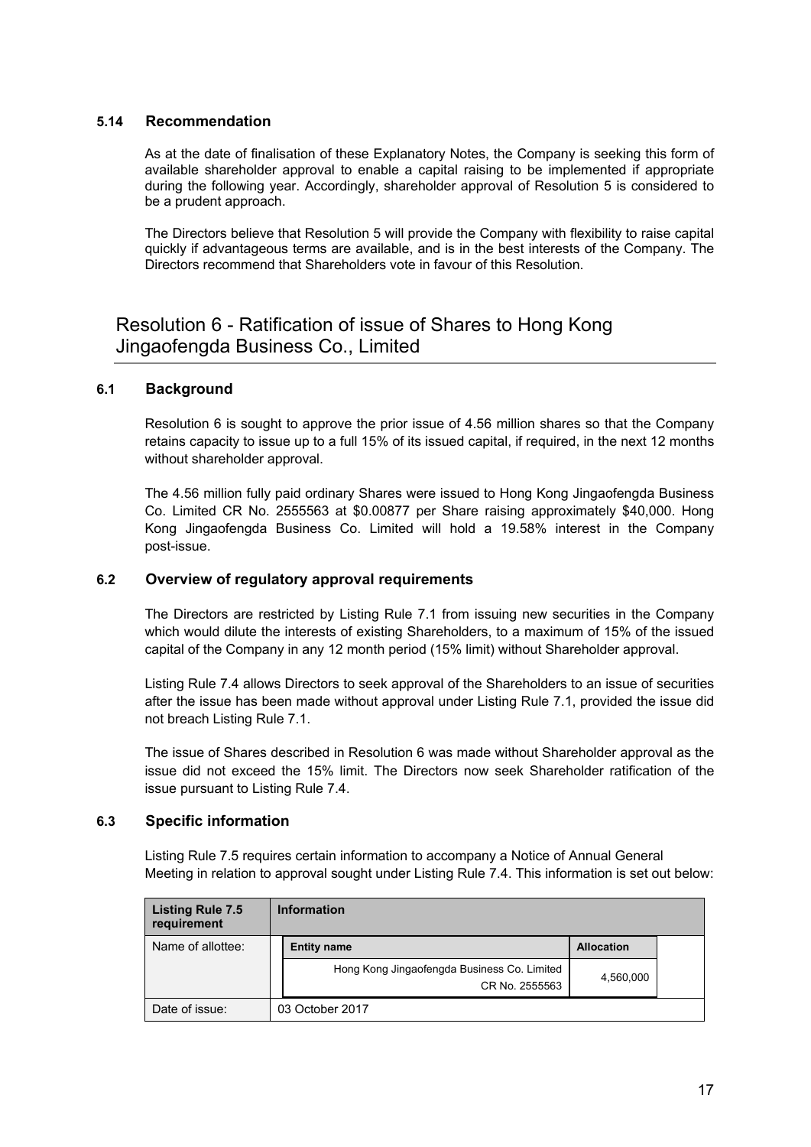## **5.14 Recommendation**

As at the date of finalisation of these Explanatory Notes, the Company is seeking this form of available shareholder approval to enable a capital raising to be implemented if appropriate during the following year. Accordingly, shareholder approval of Resolution 5 is considered to be a prudent approach.

The Directors believe that Resolution 5 will provide the Company with flexibility to raise capital quickly if advantageous terms are available, and is in the best interests of the Company. The Directors recommend that Shareholders vote in favour of this Resolution.

## Resolution 6 - Ratification of issue of Shares to Hong Kong Jingaofengda Business Co., Limited

## **6.1 Background**

Resolution 6 is sought to approve the prior issue of 4.56 million shares so that the Company retains capacity to issue up to a full 15% of its issued capital, if required, in the next 12 months without shareholder approval.

The 4.56 million fully paid ordinary Shares were issued to Hong Kong Jingaofengda Business Co. Limited CR No. 2555563 at \$0.00877 per Share raising approximately \$40,000. Hong Kong Jingaofengda Business Co. Limited will hold a 19.58% interest in the Company post-issue.

### **6.2 Overview of regulatory approval requirements**

The Directors are restricted by Listing Rule 7.1 from issuing new securities in the Company which would dilute the interests of existing Shareholders, to a maximum of 15% of the issued capital of the Company in any 12 month period (15% limit) without Shareholder approval.

Listing Rule 7.4 allows Directors to seek approval of the Shareholders to an issue of securities after the issue has been made without approval under Listing Rule 7.1, provided the issue did not breach Listing Rule 7.1.

The issue of Shares described in Resolution 6 was made without Shareholder approval as the issue did not exceed the 15% limit. The Directors now seek Shareholder ratification of the issue pursuant to Listing Rule 7.4.

### **6.3 Specific information**

Listing Rule 7.5 requires certain information to accompany a Notice of Annual General Meeting in relation to approval sought under Listing Rule 7.4. This information is set out below:

| <b>Listing Rule 7.5</b><br>requirement | <b>Information</b>                                            |                   |  |
|----------------------------------------|---------------------------------------------------------------|-------------------|--|
| Name of allottee:                      | <b>Entity name</b>                                            | <b>Allocation</b> |  |
|                                        | Hong Kong Jingaofengda Business Co. Limited<br>CR No. 2555563 | 4,560,000         |  |
| Date of issue:                         | 03 October 2017                                               |                   |  |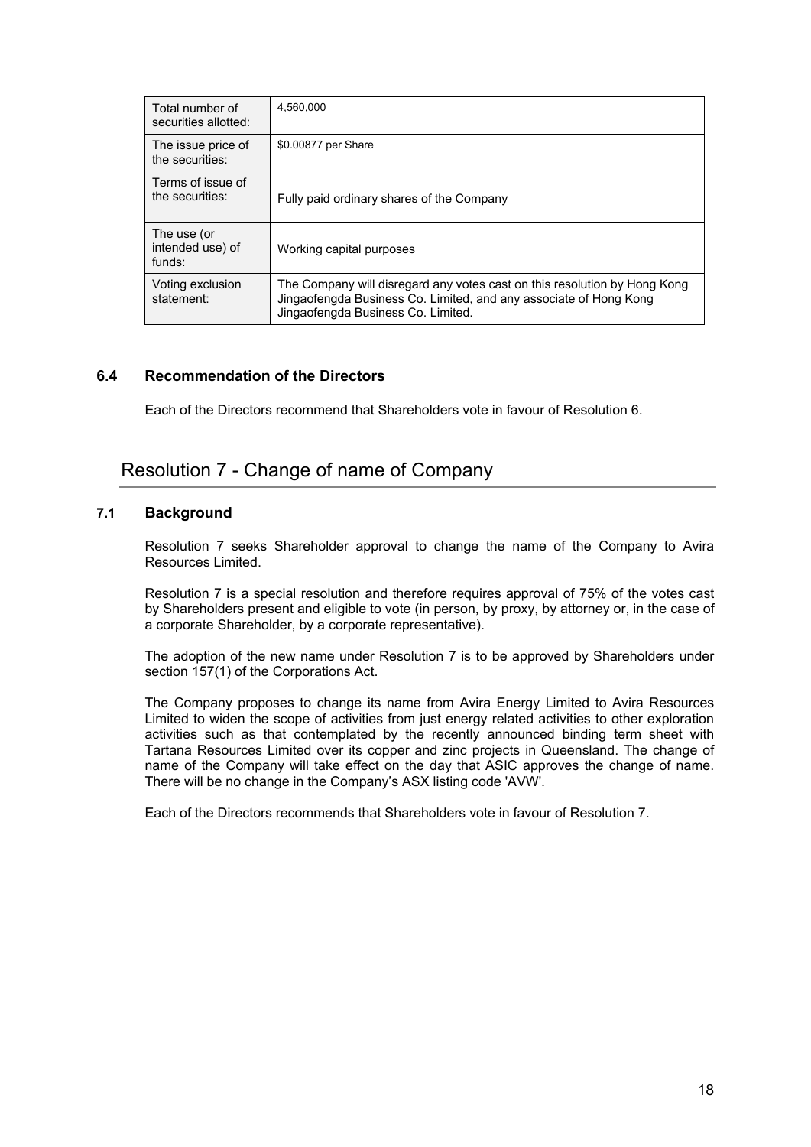| Total number of<br>securities allotted:   | 4.560.000                                                                                                                                                                            |
|-------------------------------------------|--------------------------------------------------------------------------------------------------------------------------------------------------------------------------------------|
| The issue price of<br>the securities:     | \$0.00877 per Share                                                                                                                                                                  |
| Terms of issue of<br>the securities:      | Fully paid ordinary shares of the Company                                                                                                                                            |
| The use (or<br>intended use) of<br>funds: | Working capital purposes                                                                                                                                                             |
| Voting exclusion<br>statement:            | The Company will disregard any votes cast on this resolution by Hong Kong<br>Jingaofengda Business Co. Limited, and any associate of Hong Kong<br>Jingaofengda Business Co. Limited. |

## **6.4 Recommendation of the Directors**

Each of the Directors recommend that Shareholders vote in favour of Resolution 6.

## Resolution 7 - Change of name of Company

## **7.1 Background**

Resolution 7 seeks Shareholder approval to change the name of the Company to Avira Resources Limited.

Resolution 7 is a special resolution and therefore requires approval of 75% of the votes cast by Shareholders present and eligible to vote (in person, by proxy, by attorney or, in the case of a corporate Shareholder, by a corporate representative).

The adoption of the new name under Resolution 7 is to be approved by Shareholders under section 157(1) of the Corporations Act.

The Company proposes to change its name from Avira Energy Limited to Avira Resources Limited to widen the scope of activities from just energy related activities to other exploration activities such as that contemplated by the recently announced binding term sheet with Tartana Resources Limited over its copper and zinc projects in Queensland. The change of name of the Company will take effect on the day that ASIC approves the change of name. There will be no change in the Company's ASX listing code 'AVW'.

Each of the Directors recommends that Shareholders vote in favour of Resolution 7.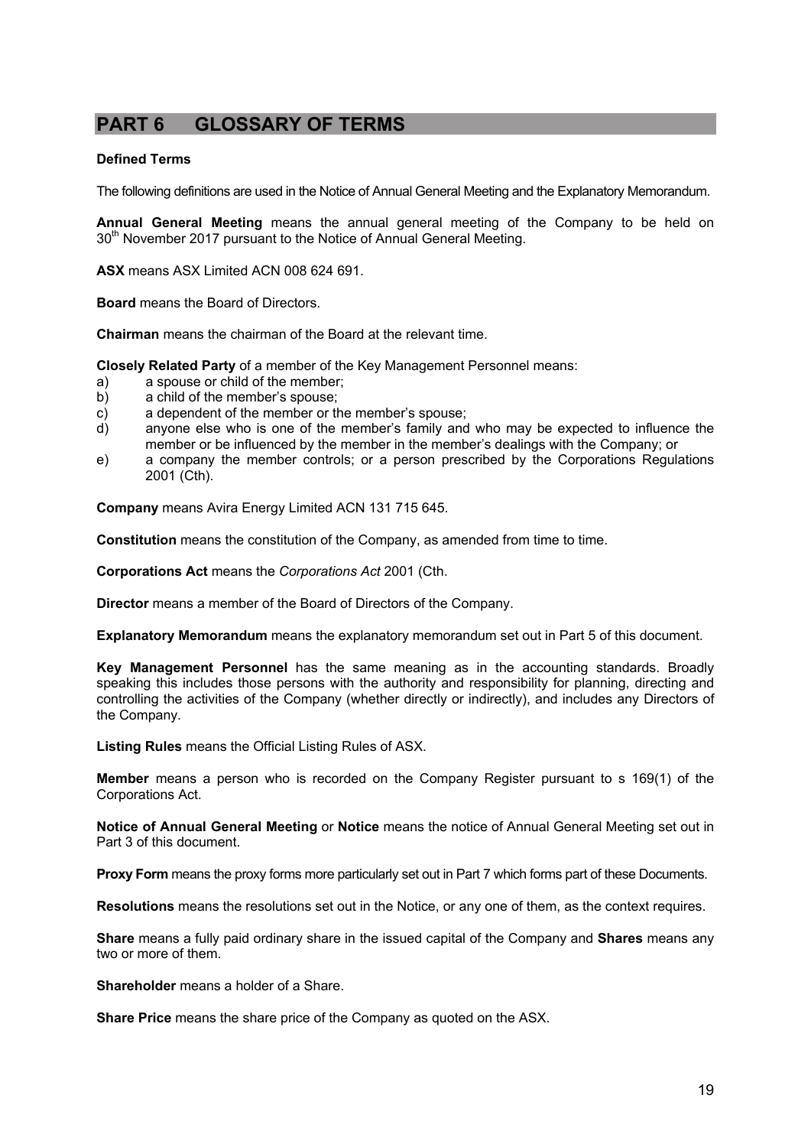## **PART 6 GLOSSARY OF TERMS**

#### **Defined Terms**

The following definitions are used in the Notice of Annual General Meeting and the Explanatory Memorandum.

**Annual General Meeting** means the annual general meeting of the Company to be held on 30<sup>th</sup> November 2017 pursuant to the Notice of Annual General Meeting.

**ASX** means ASX Limited ACN 008 624 691.

**Board** means the Board of Directors.

**Chairman** means the chairman of the Board at the relevant time.

**Closely Related Party** of a member of the Key Management Personnel means:

- a) a spouse or child of the member;
- b) a child of the member's spouse;
- c) a dependent of the member or the member's spouse;
- d) anyone else who is one of the member's family and who may be expected to influence the member or be influenced by the member in the member's dealings with the Company; or
- e) a company the member controls; or a person prescribed by the Corporations Regulations 2001 (Cth).

**Company** means Avira Energy Limited ACN 131 715 645.

**Constitution** means the constitution of the Company, as amended from time to time.

**Corporations Act** means the *Corporations Act* 2001 (Cth.

**Director** means a member of the Board of Directors of the Company.

**Explanatory Memorandum** means the explanatory memorandum set out in Part 5 of this document.

**Key Management Personnel** has the same meaning as in the accounting standards. Broadly speaking this includes those persons with the authority and responsibility for planning, directing and controlling the activities of the Company (whether directly or indirectly), and includes any Directors of the Company.

**Listing Rules** means the Official Listing Rules of ASX.

**Member** means a person who is recorded on the Company Register pursuant to s 169(1) of the Corporations Act.

**Notice of Annual General Meeting** or **Notice** means the notice of Annual General Meeting set out in Part 3 of this document.

**Proxy Form** means the proxy forms more particularly set out in Part 7 which forms part of these Documents.

**Resolutions** means the resolutions set out in the Notice, or any one of them, as the context requires.

**Share** means a fully paid ordinary share in the issued capital of the Company and **Shares** means any two or more of them.

**Shareholder** means a holder of a Share.

**Share Price** means the share price of the Company as quoted on the ASX.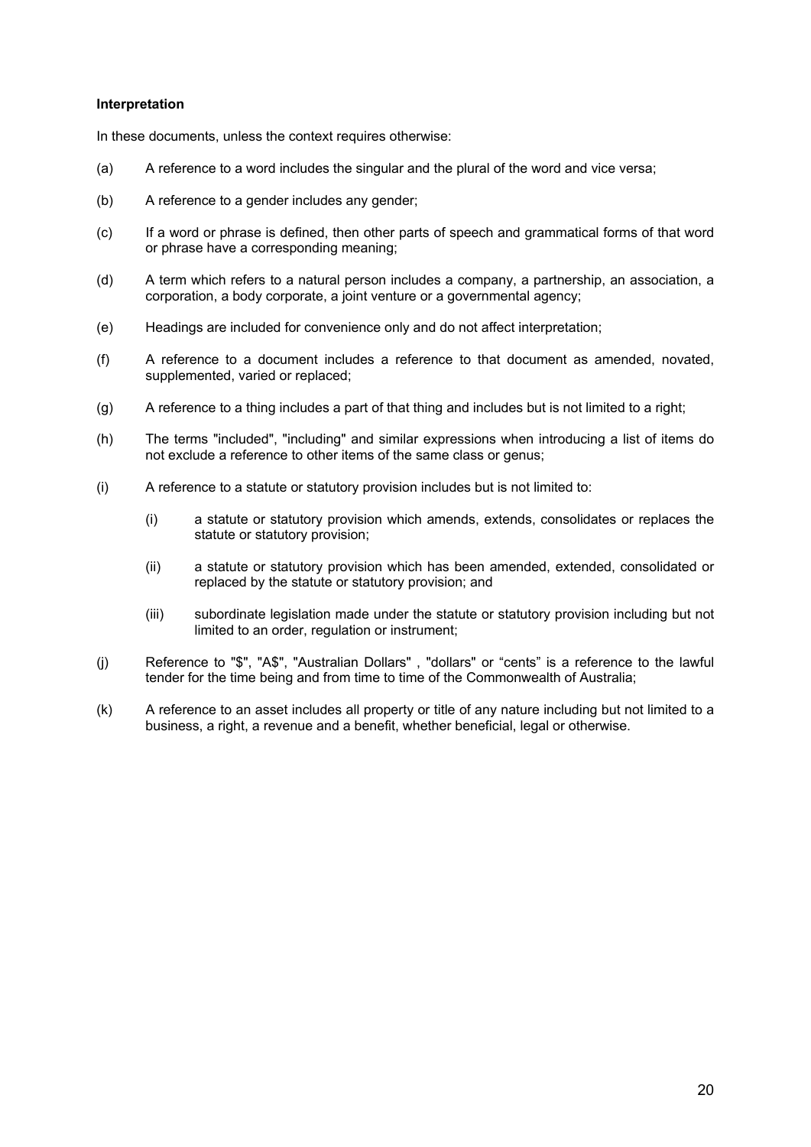#### **Interpretation**

In these documents, unless the context requires otherwise:

- (a) A reference to a word includes the singular and the plural of the word and vice versa;
- (b) A reference to a gender includes any gender;
- (c) If a word or phrase is defined, then other parts of speech and grammatical forms of that word or phrase have a corresponding meaning;
- (d) A term which refers to a natural person includes a company, a partnership, an association, a corporation, a body corporate, a joint venture or a governmental agency;
- (e) Headings are included for convenience only and do not affect interpretation;
- (f) A reference to a document includes a reference to that document as amended, novated, supplemented, varied or replaced;
- (g) A reference to a thing includes a part of that thing and includes but is not limited to a right;
- (h) The terms "included", "including" and similar expressions when introducing a list of items do not exclude a reference to other items of the same class or genus;
- (i) A reference to a statute or statutory provision includes but is not limited to:
	- (i) a statute or statutory provision which amends, extends, consolidates or replaces the statute or statutory provision;
	- (ii) a statute or statutory provision which has been amended, extended, consolidated or replaced by the statute or statutory provision; and
	- (iii) subordinate legislation made under the statute or statutory provision including but not limited to an order, regulation or instrument;
- (j) Reference to "\$", "A\$", "Australian Dollars" , "dollars" or "cents" is a reference to the lawful tender for the time being and from time to time of the Commonwealth of Australia;
- (k) A reference to an asset includes all property or title of any nature including but not limited to a business, a right, a revenue and a benefit, whether beneficial, legal or otherwise.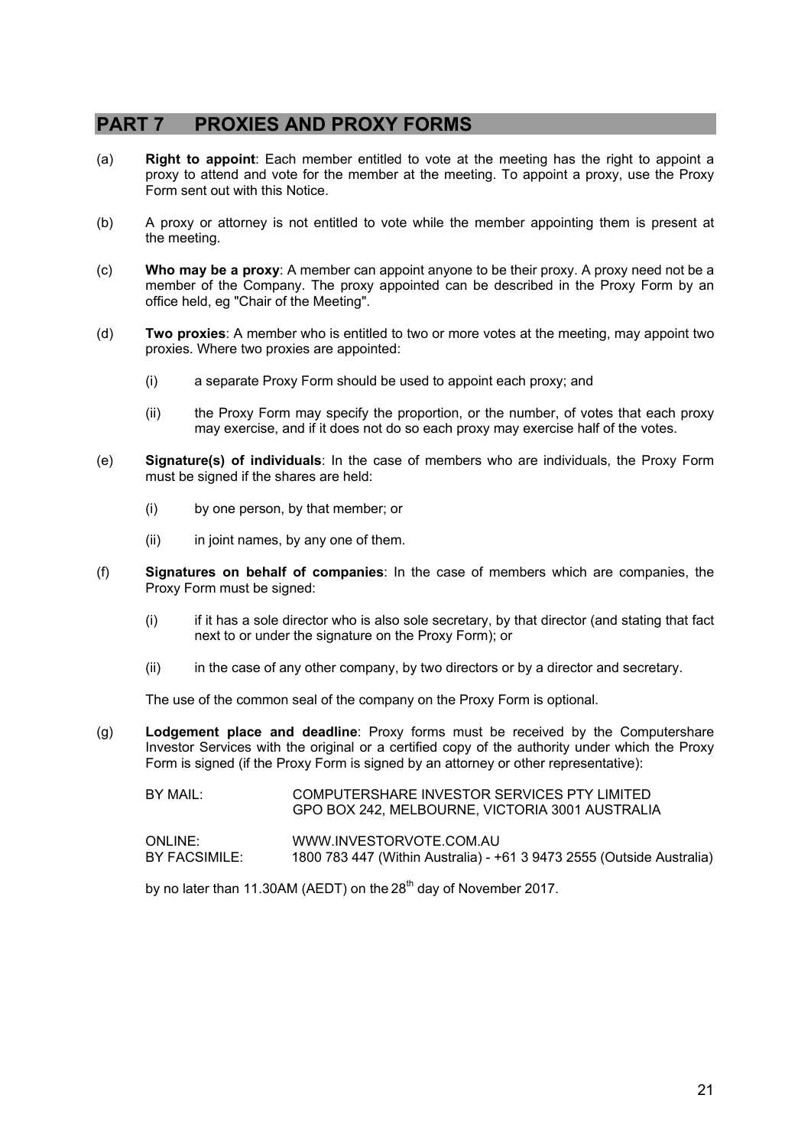## **PART 7 PROXIES AND PROXY FORMS**

- (a) **Right to appoint**: Each member entitled to vote at the meeting has the right to appoint a proxy to attend and vote for the member at the meeting. To appoint a proxy, use the Proxy Form sent out with this Notice.
- (b) A proxy or attorney is not entitled to vote while the member appointing them is present at the meeting.
- (c) **Who may be a proxy**: A member can appoint anyone to be their proxy. A proxy need not be a member of the Company. The proxy appointed can be described in the Proxy Form by an office held, eg "Chair of the Meeting".
- (d) **Two proxies**: A member who is entitled to two or more votes at the meeting, may appoint two proxies. Where two proxies are appointed:
	- (i) a separate Proxy Form should be used to appoint each proxy; and
	- (ii) the Proxy Form may specify the proportion, or the number, of votes that each proxy may exercise, and if it does not do so each proxy may exercise half of the votes.
- (e) **Signature(s) of individuals**: In the case of members who are individuals, the Proxy Form must be signed if the shares are held:
	- (i) by one person, by that member; or
	- (ii) in joint names, by any one of them.
- (f) **Signatures on behalf of companies**: In the case of members which are companies, the Proxy Form must be signed:
	- (i) if it has a sole director who is also sole secretary, by that director (and stating that fact next to or under the signature on the Proxy Form); or
	- (ii) in the case of any other company, by two directors or by a director and secretary.

The use of the common seal of the company on the Proxy Form is optional.

- (g) **Lodgement place and deadline**: Proxy forms must be received by the Computershare Investor Services with the original or a certified copy of the authority under which the Proxy Form is signed (if the Proxy Form is signed by an attorney or other representative):
	- BY MAIL: COMPUTERSHARE INVESTOR SERVICES PTY LIMITED GPO BOX 242, MELBOURNE, VICTORIA 3001 AUSTRALIA

| ONLINE:       | WWW.INVESTORVOTE.COM.AU                                               |
|---------------|-----------------------------------------------------------------------|
| BY FACSIMILE: | 1800 783 447 (Within Australia) - +61 3 9473 2555 (Outside Australia) |

by no later than 11.30AM (AEDT) on the  $28<sup>th</sup>$  day of November 2017.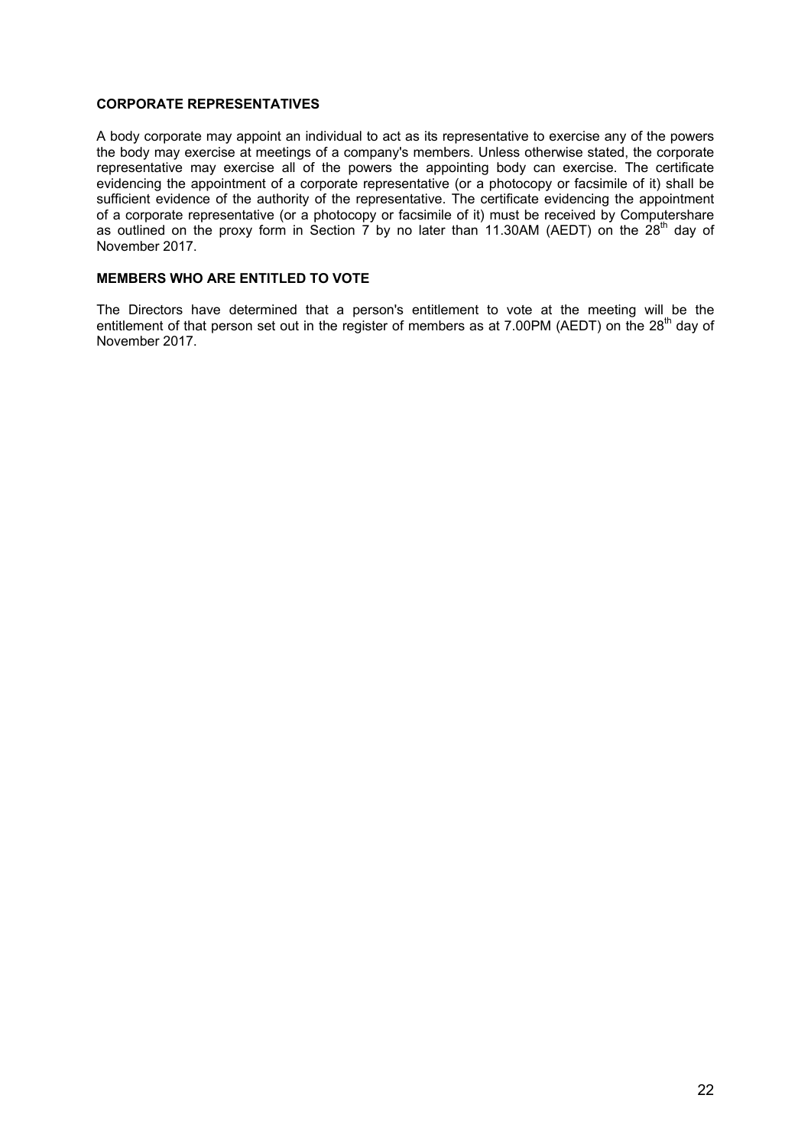#### **CORPORATE REPRESENTATIVES**

A body corporate may appoint an individual to act as its representative to exercise any of the powers the body may exercise at meetings of a company's members. Unless otherwise stated, the corporate representative may exercise all of the powers the appointing body can exercise. The certificate evidencing the appointment of a corporate representative (or a photocopy or facsimile of it) shall be sufficient evidence of the authority of the representative. The certificate evidencing the appointment of a corporate representative (or a photocopy or facsimile of it) must be received by Computershare as outlined on the proxy form in Section 7 by no later than 11.30AM (AEDT) on the 28<sup>th</sup> day of November 2017.

### **MEMBERS WHO ARE ENTITLED TO VOTE**

The Directors have determined that a person's entitlement to vote at the meeting will be the entitlement of that person set out in the register of members as at 7.00PM (AEDT) on the 28<sup>th</sup> day of November 2017.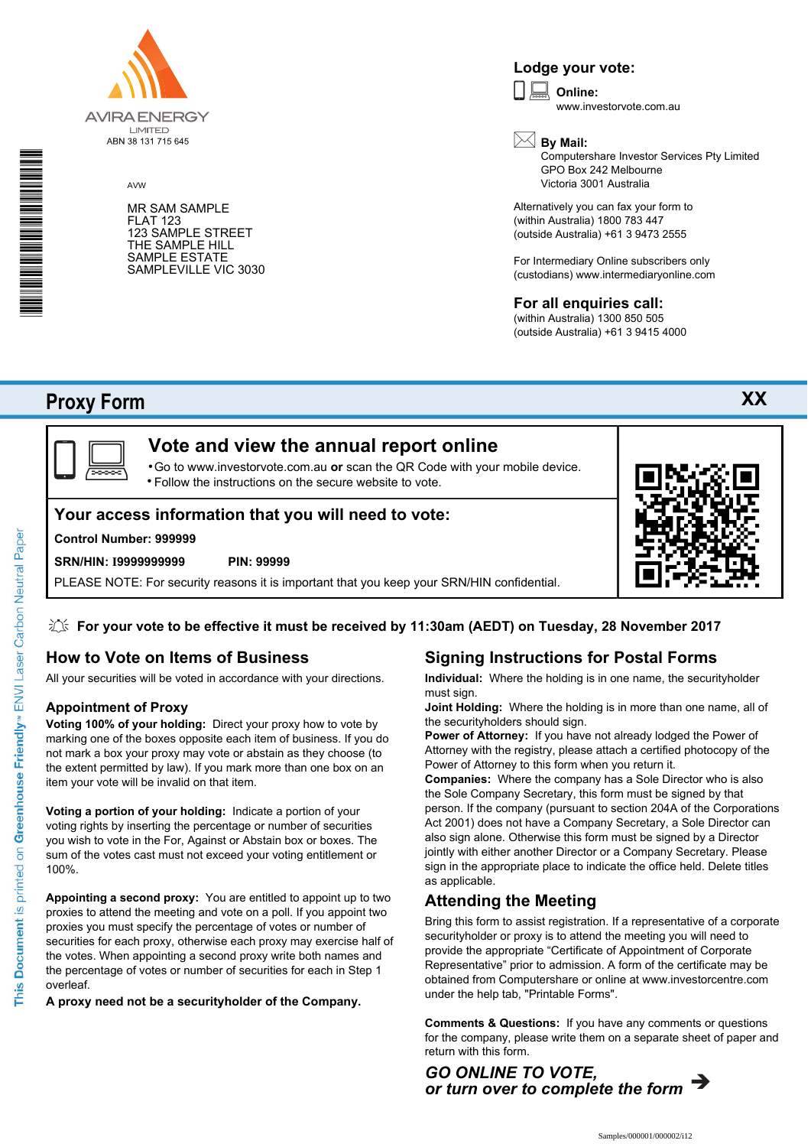

AVW

MR SAM SAMPLE FLAT 123 123 SAMPLE STREET THE SAMPLE HILL SAMPLE ESTATE SAMPLEVILLE VIC 3030

## **Lodge your vote:**

**Online:** www.investorvote.com.au  $\boxed{\Box}$ 



Computershare Investor Services Pty Limited GPO Box 242 Melbourne Victoria 3001 Australia

Alternatively you can fax your form to (within Australia) 1800 783 447 (outside Australia) +61 3 9473 2555

For Intermediary Online subscribers only (custodians) www.intermediaryonline.com

## **For all enquiries call:**

(within Australia) 1300 850 505 (outside Australia) +61 3 9415 4000

## **Proxy Form**

\* M0000112<br>M000112



## **Vote and view the annual report online**

Go to www.investorvote.com.au **or** scan the QR Code with your mobile device. Follow the instructions on the secure website to vote. •

## **Your access information that you will need to vote:**

### **Control Number: 999999**

#### **SRN/HIN: I9999999999 PIN: 99999**

PLEASE NOTE: For security reasons it is important that you keep your SRN/HIN confidential.



## **How to Vote on Items of Business**

All your securities will be voted in accordance with your directions.

## **Appointment of Proxy**

**Voting 100% of your holding:** Direct your proxy how to vote by marking one of the boxes opposite each item of business. If you do not mark a box your proxy may vote or abstain as they choose (to the extent permitted by law). If you mark more than one box on an item your vote will be invalid on that item.

**Voting a portion of your holding:** Indicate a portion of your voting rights by inserting the percentage or number of securities you wish to vote in the For, Against or Abstain box or boxes. The sum of the votes cast must not exceed your voting entitlement or 100%.

**Appointing a second proxy:** You are entitled to appoint up to two proxies to attend the meeting and vote on a poll. If you appoint two proxies you must specify the percentage of votes or number of securities for each proxy, otherwise each proxy may exercise half of the votes. When appointing a second proxy write both names and the percentage of votes or number of securities for each in Step 1 overleaf.

**A proxy need not be a securityholder of the Company.**

## **Signing Instructions for Postal Forms**

**Individual:** Where the holding is in one name, the securityholder must sign.

**Joint Holding:** Where the holding is in more than one name, all of the securityholders should sign.

**Power of Attorney:** If you have not already lodged the Power of Attorney with the registry, please attach a certified photocopy of the Power of Attorney to this form when you return it.

**Companies:** Where the company has a Sole Director who is also the Sole Company Secretary, this form must be signed by that person. If the company (pursuant to section 204A of the Corporations Act 2001) does not have a Company Secretary, a Sole Director can also sign alone. Otherwise this form must be signed by a Director jointly with either another Director or a Company Secretary. Please sign in the appropriate place to indicate the office held. Delete titles as applicable.

## **Attending the Meeting**

Bring this form to assist registration. If a representative of a corporate securityholder or proxy is to attend the meeting you will need to provide the appropriate "Certificate of Appointment of Corporate Representative" prior to admission. A form of the certificate may be obtained from Computershare or online at www.investorcentre.com under the help tab, "Printable Forms".

**Comments & Questions:** If you have any comments or questions for the company, please write them on a separate sheet of paper and return with this form.



**XX**